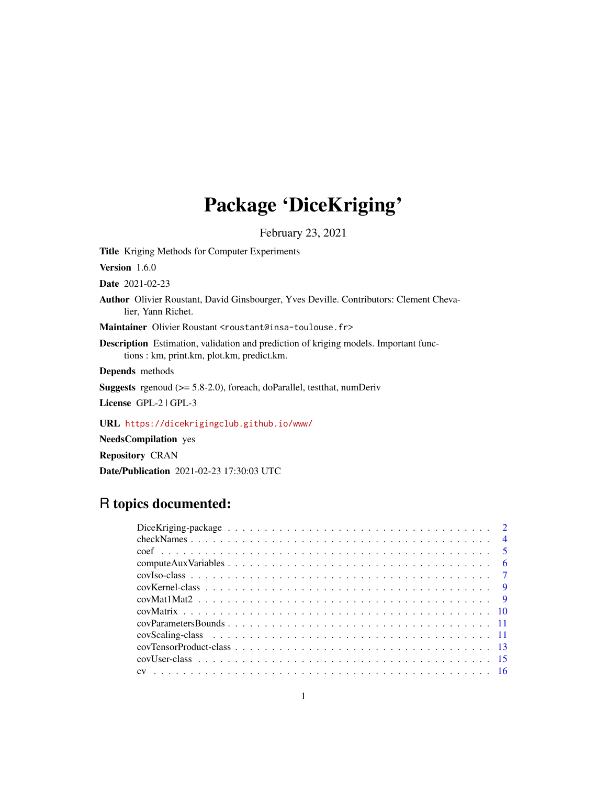# Package 'DiceKriging'

February 23, 2021

<span id="page-0-0"></span>Title Kriging Methods for Computer Experiments

Version 1.6.0

Date 2021-02-23

Author Olivier Roustant, David Ginsbourger, Yves Deville. Contributors: Clement Chevalier, Yann Richet.

Maintainer Olivier Roustant <roustant@insa-toulouse.fr>

Description Estimation, validation and prediction of kriging models. Important functions : km, print.km, plot.km, predict.km.

Depends methods

Suggests rgenoud (>= 5.8-2.0), foreach, doParallel, testthat, numDeriv

License GPL-2 | GPL-3

URL <https://dicekrigingclub.github.io/www/>

NeedsCompilation yes

Repository CRAN

Date/Publication 2021-02-23 17:30:03 UTC

# R topics documented: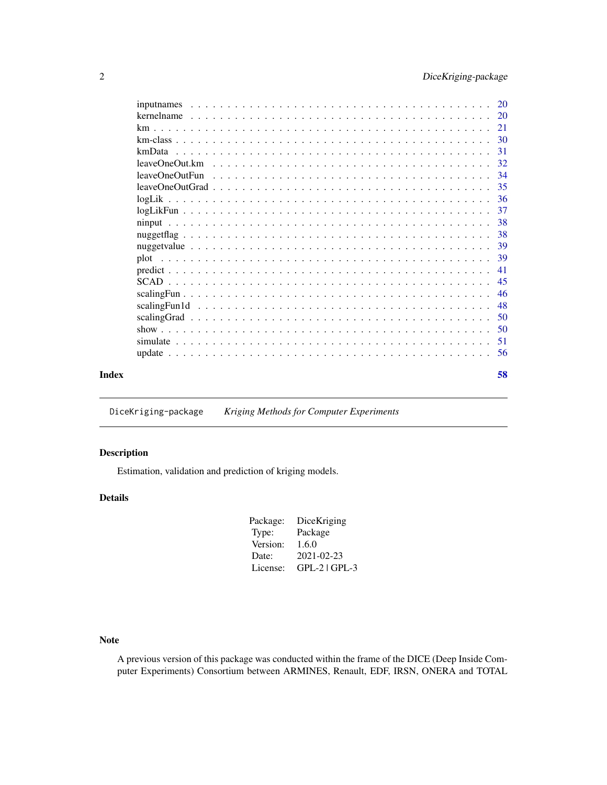<span id="page-1-0"></span>

|       | 31  |
|-------|-----|
|       |     |
|       |     |
|       |     |
|       |     |
|       |     |
|       |     |
|       |     |
|       |     |
|       |     |
|       |     |
|       |     |
|       |     |
|       |     |
|       |     |
|       | 45  |
|       | -46 |
|       | 48  |
|       |     |
|       |     |
|       |     |
|       |     |
| Index | 58  |

DiceKriging-package *Kriging Methods for Computer Experiments*

# Description

Estimation, validation and prediction of kriging models.

# Details

| DiceKriging     |
|-----------------|
| Package         |
| 1.6.0           |
| 2021-02-23      |
| $GPL-2$ $GPL-3$ |
|                 |

Note

A previous version of this package was conducted within the frame of the DICE (Deep Inside Computer Experiments) Consortium between ARMINES, Renault, EDF, IRSN, ONERA and TOTAL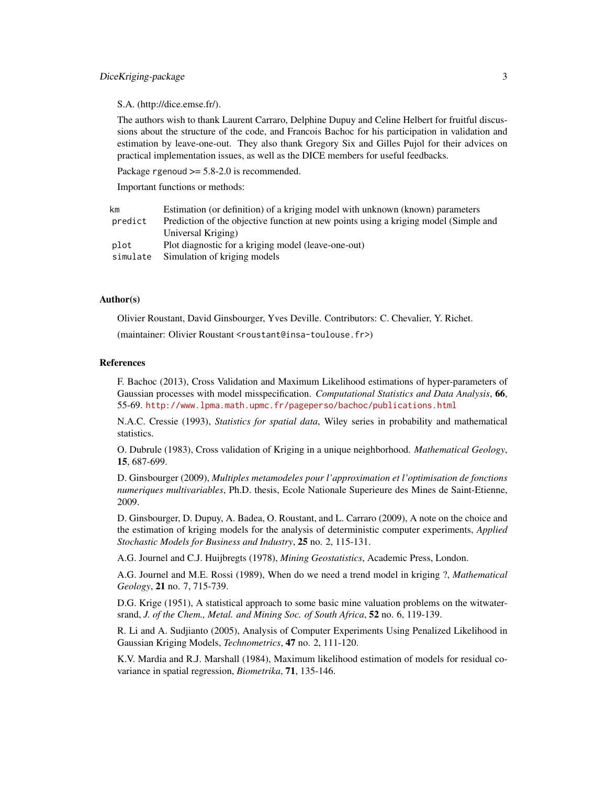#### DiceKriging-package 3

#### S.A. (http://dice.emse.fr/).

The authors wish to thank Laurent Carraro, Delphine Dupuy and Celine Helbert for fruitful discussions about the structure of the code, and Francois Bachoc for his participation in validation and estimation by leave-one-out. They also thank Gregory Six and Gilles Pujol for their advices on practical implementation issues, as well as the DICE members for useful feedbacks.

Package rgenoud  $\ge$  = 5.8-2.0 is recommended.

Important functions or methods:

| km       | Estimation (or definition) of a kriging model with unknown (known) parameters        |
|----------|--------------------------------------------------------------------------------------|
| predict  | Prediction of the objective function at new points using a kriging model (Simple and |
|          | Universal Kriging)                                                                   |
| plot     | Plot diagnostic for a kriging model (leave-one-out)                                  |
| simulate | Simulation of kriging models                                                         |

# Author(s)

Olivier Roustant, David Ginsbourger, Yves Deville. Contributors: C. Chevalier, Y. Richet.

(maintainer: Olivier Roustant <roustant@insa-toulouse.fr>)

#### References

F. Bachoc (2013), Cross Validation and Maximum Likelihood estimations of hyper-parameters of Gaussian processes with model misspecification. *Computational Statistics and Data Analysis*, 66, 55-69. <http://www.lpma.math.upmc.fr/pageperso/bachoc/publications.html>

N.A.C. Cressie (1993), *Statistics for spatial data*, Wiley series in probability and mathematical statistics.

O. Dubrule (1983), Cross validation of Kriging in a unique neighborhood. *Mathematical Geology*, 15, 687-699.

D. Ginsbourger (2009), *Multiples metamodeles pour l'approximation et l'optimisation de fonctions numeriques multivariables*, Ph.D. thesis, Ecole Nationale Superieure des Mines de Saint-Etienne, 2009.

D. Ginsbourger, D. Dupuy, A. Badea, O. Roustant, and L. Carraro (2009), A note on the choice and the estimation of kriging models for the analysis of deterministic computer experiments, *Applied Stochastic Models for Business and Industry*, 25 no. 2, 115-131.

A.G. Journel and C.J. Huijbregts (1978), *Mining Geostatistics*, Academic Press, London.

A.G. Journel and M.E. Rossi (1989), When do we need a trend model in kriging ?, *Mathematical Geology*, 21 no. 7, 715-739.

D.G. Krige (1951), A statistical approach to some basic mine valuation problems on the witwatersrand, *J. of the Chem., Metal. and Mining Soc. of South Africa*, 52 no. 6, 119-139.

R. Li and A. Sudjianto (2005), Analysis of Computer Experiments Using Penalized Likelihood in Gaussian Kriging Models, *Technometrics*, 47 no. 2, 111-120.

K.V. Mardia and R.J. Marshall (1984), Maximum likelihood estimation of models for residual covariance in spatial regression, *Biometrika*, 71, 135-146.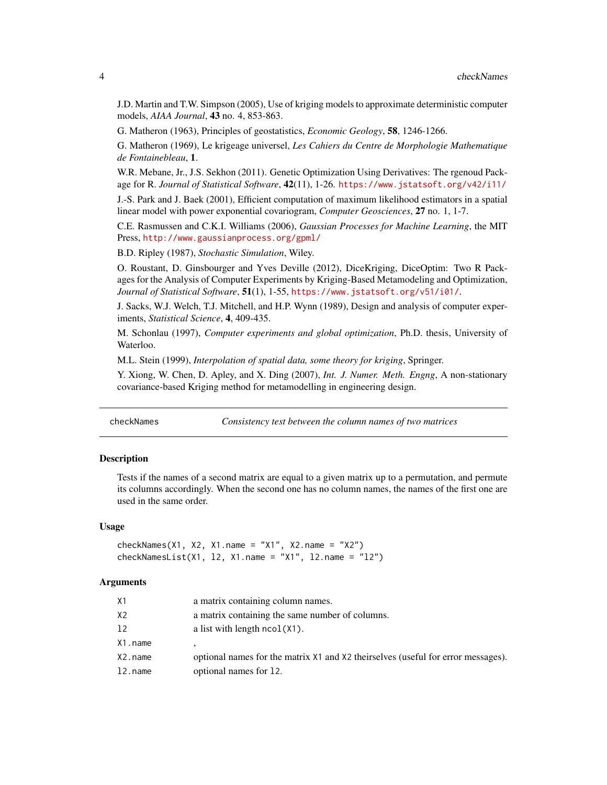J.D. Martin and T.W. Simpson (2005), Use of kriging models to approximate deterministic computer models, *AIAA Journal*, 43 no. 4, 853-863.

G. Matheron (1963), Principles of geostatistics, *Economic Geology*, 58, 1246-1266.

G. Matheron (1969), Le krigeage universel, *Les Cahiers du Centre de Morphologie Mathematique de Fontainebleau*, 1.

W.R. Mebane, Jr., J.S. Sekhon (2011). Genetic Optimization Using Derivatives: The rgenoud Package for R. *Journal of Statistical Software*, 42(11), 1-26. <https://www.jstatsoft.org/v42/i11/>

J.-S. Park and J. Baek (2001), Efficient computation of maximum likelihood estimators in a spatial linear model with power exponential covariogram, *Computer Geosciences*, 27 no. 1, 1-7.

C.E. Rasmussen and C.K.I. Williams (2006), *Gaussian Processes for Machine Learning*, the MIT Press, <http://www.gaussianprocess.org/gpml/>

B.D. Ripley (1987), *Stochastic Simulation*, Wiley.

O. Roustant, D. Ginsbourger and Yves Deville (2012), DiceKriging, DiceOptim: Two R Packages for the Analysis of Computer Experiments by Kriging-Based Metamodeling and Optimization, *Journal of Statistical Software*, 51(1), 1-55, <https://www.jstatsoft.org/v51/i01/>.

J. Sacks, W.J. Welch, T.J. Mitchell, and H.P. Wynn (1989), Design and analysis of computer experiments, *Statistical Science*, 4, 409-435.

M. Schonlau (1997), *Computer experiments and global optimization*, Ph.D. thesis, University of Waterloo.

M.L. Stein (1999), *Interpolation of spatial data, some theory for kriging*, Springer.

Y. Xiong, W. Chen, D. Apley, and X. Ding (2007), *Int. J. Numer. Meth. Engng*, A non-stationary covariance-based Kriging method for metamodelling in engineering design.

<span id="page-3-1"></span>checkNames *Consistency test between the column names of two matrices*

# Description

Tests if the names of a second matrix are equal to a given matrix up to a permutation, and permute its columns accordingly. When the second one has no column names, the names of the first one are used in the same order.

#### Usage

```
checkNames(X1, X2, X1.name = "X1", X2.name = "X2")
checkNamesList(X1, 12, X1.name = "X1", 12.name = "12")
```
#### Arguments

| Х1      | a matrix containing column names.                                                |
|---------|----------------------------------------------------------------------------------|
| X2      | a matrix containing the same number of columns.                                  |
| 12      | a list with length $ncol(X1)$ .                                                  |
| X1.name |                                                                                  |
| X2.name | optional names for the matrix X1 and X2 theirselves (useful for error messages). |
| l2.name | optional names for 12.                                                           |
|         |                                                                                  |

<span id="page-3-0"></span>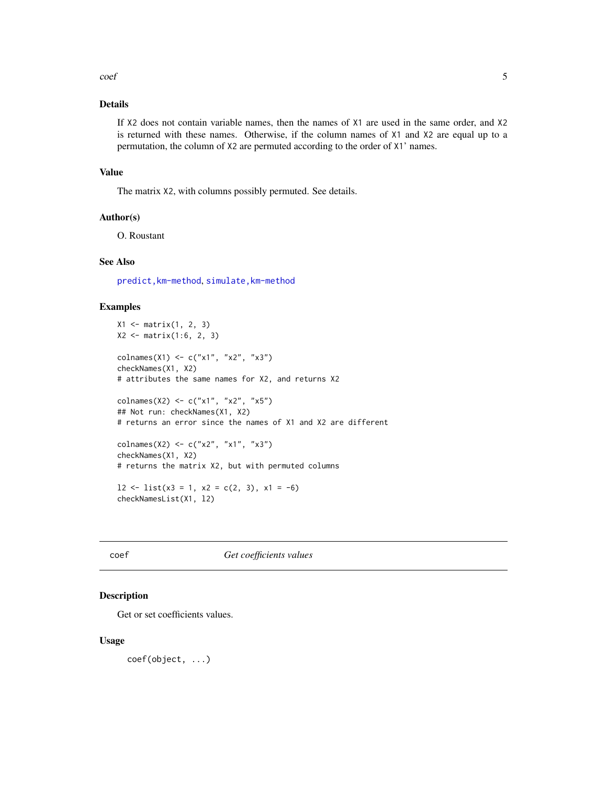<span id="page-4-0"></span> $\text{coeff}$  5

# Details

If X2 does not contain variable names, then the names of X1 are used in the same order, and X2 is returned with these names. Otherwise, if the column names of X1 and X2 are equal up to a permutation, the column of X2 are permuted according to the order of X1' names.

#### Value

The matrix X2, with columns possibly permuted. See details.

# Author(s)

O. Roustant

# See Also

[predict,km-method](#page-0-0), [simulate,km-method](#page-0-0)

#### Examples

```
X1 <- matrix(1, 2, 3)
X2 <- matrix(1:6, 2, 3)
colnames(X1) <- c("x1", "x2", "x3")
checkNames(X1, X2)
# attributes the same names for X2, and returns X2
colnames(X2) <- c("x1", "x2", "x5")
## Not run: checkNames(X1, X2)
# returns an error since the names of X1 and X2 are different
colnames(X2) <- c("x2", "x1", "x3")
checkNames(X1, X2)
# returns the matrix X2, but with permuted columns
12 \leftarrow list(x3 = 1, x2 = c(2, 3), x1 = -6)
```
checkNamesList(X1, l2)

coef *Get coefficients values*

#### Description

Get or set coefficients values.

#### Usage

coef(object, ...)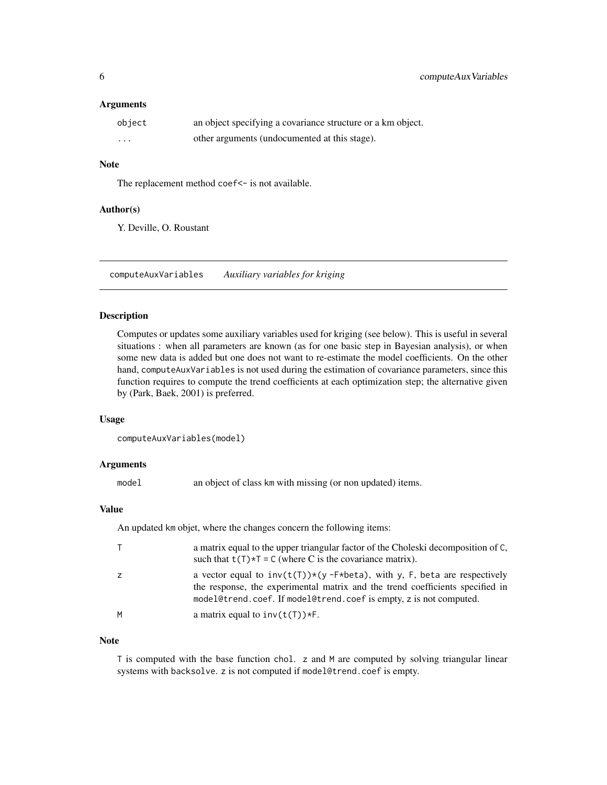#### <span id="page-5-0"></span>**Arguments**

| object   | an object specifying a covariance structure or a km object. |
|----------|-------------------------------------------------------------|
| $\cdots$ | other arguments (undocumented at this stage).               |

# Note

The replacement method coef<- is not available.

#### Author(s)

Y. Deville, O. Roustant

<span id="page-5-1"></span>computeAuxVariables *Auxiliary variables for kriging*

# Description

Computes or updates some auxiliary variables used for kriging (see below). This is useful in several situations : when all parameters are known (as for one basic step in Bayesian analysis), or when some new data is added but one does not want to re-estimate the model coefficients. On the other hand, computeAuxVariables is not used during the estimation of covariance parameters, since this function requires to compute the trend coefficients at each optimization step; the alternative given by (Park, Baek, 2001) is preferred.

#### Usage

```
computeAuxVariables(model)
```
#### Arguments

model an object of class km with missing (or non updated) items.

# Value

An updated km objet, where the changes concern the following items:

|   | a matrix equal to the upper triangular factor of the Choleski decomposition of C,<br>such that $t(T)*T = C$ (where C is the covariance matrix).                                                                                        |
|---|----------------------------------------------------------------------------------------------------------------------------------------------------------------------------------------------------------------------------------------|
|   | a vector equal to $inv(t(T))*(y - F * beta)$ , with y, F, beta are respectively<br>the response, the experimental matrix and the trend coefficients specified in<br>model@trend.coef. If model@trend.coef is empty, z is not computed. |
| M | a matrix equal to $inv(t(T))$ *F.                                                                                                                                                                                                      |

#### Note

T is computed with the base function chol. z and M are computed by solving triangular linear systems with backsolve. z is not computed if model@trend.coef is empty.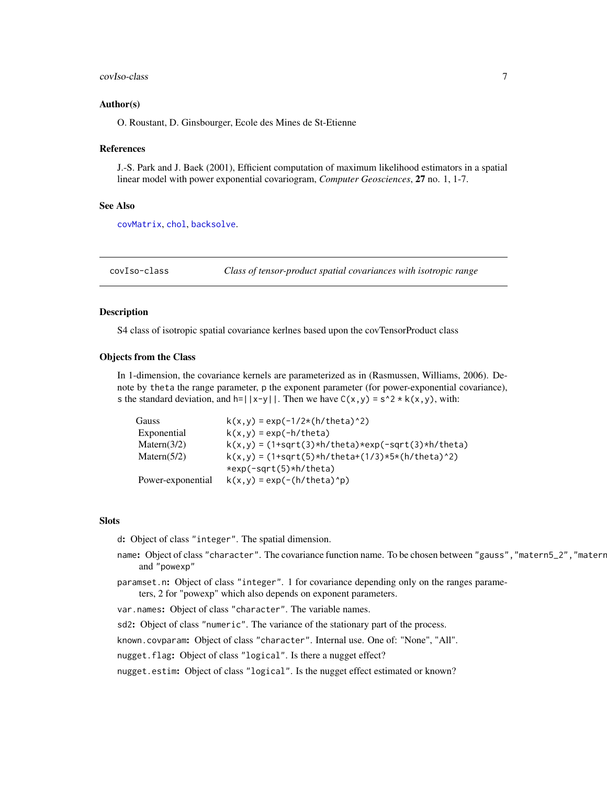#### <span id="page-6-0"></span>covIso-class 7

#### Author(s)

O. Roustant, D. Ginsbourger, Ecole des Mines de St-Etienne

#### References

J.-S. Park and J. Baek (2001), Efficient computation of maximum likelihood estimators in a spatial linear model with power exponential covariogram, *Computer Geosciences*, 27 no. 1, 1-7.

#### See Also

[covMatrix](#page-9-1), [chol](#page-0-0), [backsolve](#page-0-0).

<span id="page-6-1"></span>

covIso-class *Class of tensor-product spatial covariances with isotropic range*

#### **Description**

S4 class of isotropic spatial covariance kerlnes based upon the covTensorProduct class

#### Objects from the Class

In 1-dimension, the covariance kernels are parameterized as in (Rasmussen, Williams, 2006). Denote by theta the range parameter, p the exponent parameter (for power-exponential covariance), s the standard deviation, and  $h=||x-y||$ . Then we have  $C(x,y) = s^2 * k(x,y)$ , with:

| Gauss             | $k(x,y) = exp(-1/2*(h/theta a)^2)$                                           |
|-------------------|------------------------------------------------------------------------------|
| Exponential       | $k(x,y) = exp(-h/theta)$                                                     |
| Matern $(3/2)$    | $k(x,y) = (1+sqrt(3)*h/theta)*exp(-sqrt(3)*h/theta)$                         |
| Matern $(5/2)$    | $k(x,y) = (1+sqrt(5)*h/theta+1/3)*5*(h/theta+2)$<br>$*exp(-sqrt(5)*h/theta)$ |
| Power-exponential | $k(x,y) = exp(-(h/theta a)^n p)$                                             |
|                   |                                                                              |

#### **Slots**

d: Object of class "integer". The spatial dimension.

- name: Object of class "character". The covariance function name. To be chosen between "gauss", "matern5\_2", "materr and "powexp"
- paramset.n: Object of class "integer". 1 for covariance depending only on the ranges parame-

ters, 2 for "powexp" which also depends on exponent parameters.

var.names: Object of class "character". The variable names.

sd2: Object of class "numeric". The variance of the stationary part of the process.

known.covparam: Object of class "character". Internal use. One of: "None", "All".

nugget.flag: Object of class "logical". Is there a nugget effect?

nugget.estim: Object of class "logical". Is the nugget effect estimated or known?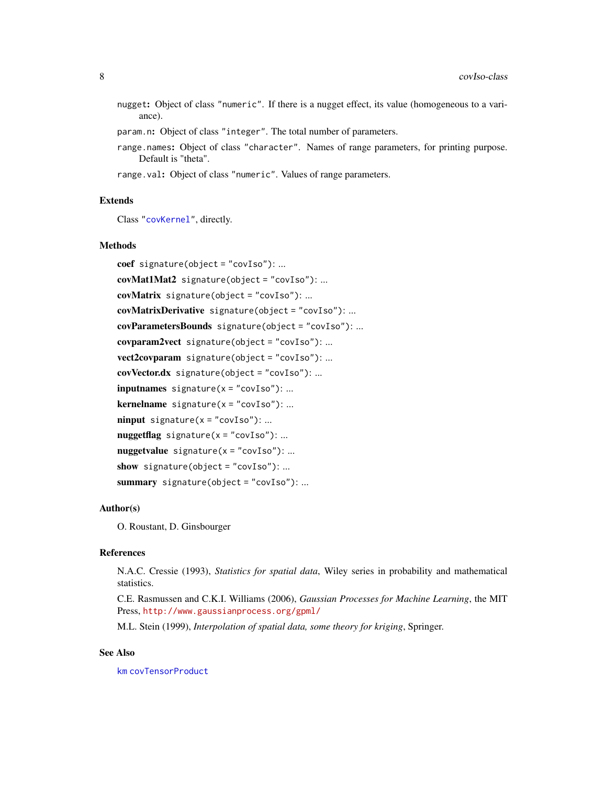- <span id="page-7-0"></span>nugget: Object of class "numeric". If there is a nugget effect, its value (homogeneous to a variance).
- param.n: Object of class "integer". The total number of parameters.
- range.names: Object of class "character". Names of range parameters, for printing purpose. Default is "theta".
- range.val: Object of class "numeric". Values of range parameters.

#### Extends

Class ["covKernel"](#page-8-1), directly.

#### Methods

```
coef signature(object = "covIso"): ...
covMat1Mat2 signature(object = "covIso"): ...
covMatrix signature(object = "covIso"): ...
covMatrixDerivative signature(object = "covIso"): ...
covParametersBounds signature(object = "covIso"): ...
covparam2vect signature(object = "covIso"): ...
vect2covparam signature(object = "covIso"): ...
covVector.dx signature(object = "covIso"): ...
inputnames signature(x = "covIso"): ...
kernelname signature(x = "covIso"). ...
ninput signature(x = "covIso"): ...
nuggetflag signature(x = "covIso"): ...
nuggetvalue signature(x = "covIso"): ...
show signature(object = "covIso"): ...
summary signature(object = "covIso"): ...
```
# Author(s)

O. Roustant, D. Ginsbourger

### References

N.A.C. Cressie (1993), *Statistics for spatial data*, Wiley series in probability and mathematical statistics.

C.E. Rasmussen and C.K.I. Williams (2006), *Gaussian Processes for Machine Learning*, the MIT Press, <http://www.gaussianprocess.org/gpml/>

M.L. Stein (1999), *Interpolation of spatial data, some theory for kriging*, Springer.

# See Also

[km](#page-20-1) [covTensorProduct](#page-12-1)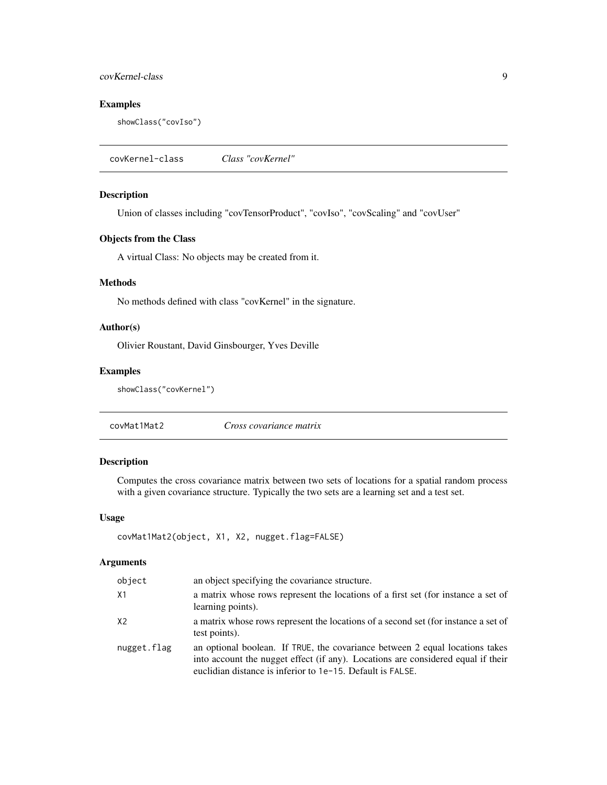# <span id="page-8-0"></span>covKernel-class 9

# Examples

showClass("covIso")

<span id="page-8-1"></span>covKernel-class *Class "covKernel"*

# Description

Union of classes including "covTensorProduct", "covIso", "covScaling" and "covUser"

# Objects from the Class

A virtual Class: No objects may be created from it.

# Methods

No methods defined with class "covKernel" in the signature.

# Author(s)

Olivier Roustant, David Ginsbourger, Yves Deville

# Examples

```
showClass("covKernel")
```
covMat1Mat2 *Cross covariance matrix*

#### Description

Computes the cross covariance matrix between two sets of locations for a spatial random process with a given covariance structure. Typically the two sets are a learning set and a test set.

# Usage

```
covMat1Mat2(object, X1, X2, nugget.flag=FALSE)
```
#### Arguments

| object         | an object specifying the covariance structure.                                                                                                                                                                                 |
|----------------|--------------------------------------------------------------------------------------------------------------------------------------------------------------------------------------------------------------------------------|
| X1             | a matrix whose rows represent the locations of a first set (for instance a set of<br>learning points).                                                                                                                         |
| X <sub>2</sub> | a matrix whose rows represent the locations of a second set (for instance a set of<br>test points).                                                                                                                            |
| nugget.flag    | an optional boolean. If TRUE, the covariance between 2 equal locations takes<br>into account the nugget effect (if any). Locations are considered equal if their<br>euclidian distance is inferior to 1e-15. Default is FALSE. |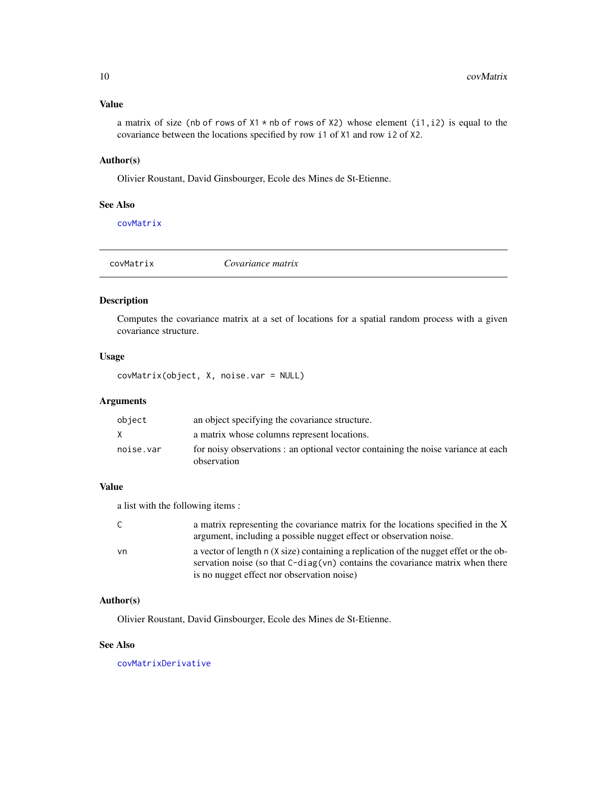# <span id="page-9-0"></span>Value

a matrix of size (nb of rows of  $X1 * nb$  of rows of  $X2$ ) whose element (i1, i2) is equal to the covariance between the locations specified by row i1 of X1 and row i2 of X2.

# Author(s)

Olivier Roustant, David Ginsbourger, Ecole des Mines de St-Etienne.

# See Also

[covMatrix](#page-9-1)

<span id="page-9-1"></span>

| covMatrix | Covariance matrix |
|-----------|-------------------|
|           |                   |

# Description

Computes the covariance matrix at a set of locations for a spatial random process with a given covariance structure.

# Usage

covMatrix(object, X, noise.var = NULL)

# Arguments

| object    | an object specifying the covariance structure.                                                   |
|-----------|--------------------------------------------------------------------------------------------------|
| X         | a matrix whose columns represent locations.                                                      |
| noise.var | for noisy observations : an optional vector containing the noise variance at each<br>observation |

# Value

a list with the following items :

| C. | a matrix representing the covariance matrix for the locations specified in the X      |
|----|---------------------------------------------------------------------------------------|
|    | argument, including a possible nugget effect or observation noise.                    |
| vn | a vector of length n (X size) containing a replication of the nugget effet or the ob- |
|    | servation noise (so that $C$ -diag(vn) contains the covariance matrix when there      |
|    | is no nugget effect nor observation noise)                                            |

# Author(s)

Olivier Roustant, David Ginsbourger, Ecole des Mines de St-Etienne.

# See Also

[covMatrixDerivative](#page-0-0)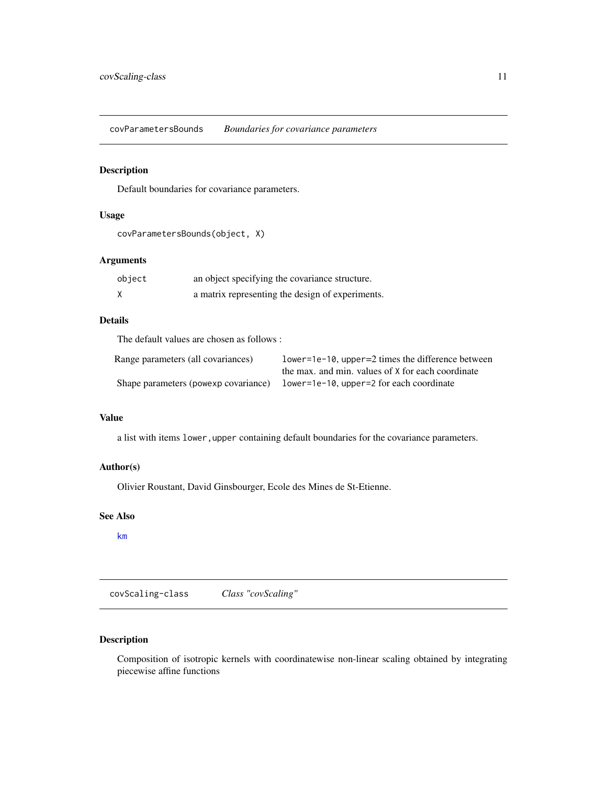<span id="page-10-1"></span><span id="page-10-0"></span>covParametersBounds *Boundaries for covariance parameters*

# Description

Default boundaries for covariance parameters.

#### Usage

```
covParametersBounds(object, X)
```
# Arguments

| object | an object specifying the covariance structure.   |  |  |
|--------|--------------------------------------------------|--|--|
|        | a matrix representing the design of experiments. |  |  |

# Details

The default values are chosen as follows :

| Range parameters (all covariances)   | $lower=1e-10$ , upper=2 times the difference between |  |
|--------------------------------------|------------------------------------------------------|--|
|                                      | the max, and min, values of X for each coordinate    |  |
| Shape parameters (powexp covariance) | lower=1e-10, upper=2 for each coordinate             |  |

#### Value

a list with items lower, upper containing default boundaries for the covariance parameters.

# Author(s)

Olivier Roustant, David Ginsbourger, Ecole des Mines de St-Etienne.

# See Also

[km](#page-20-1)

covScaling-class *Class "covScaling"*

# Description

Composition of isotropic kernels with coordinatewise non-linear scaling obtained by integrating piecewise affine functions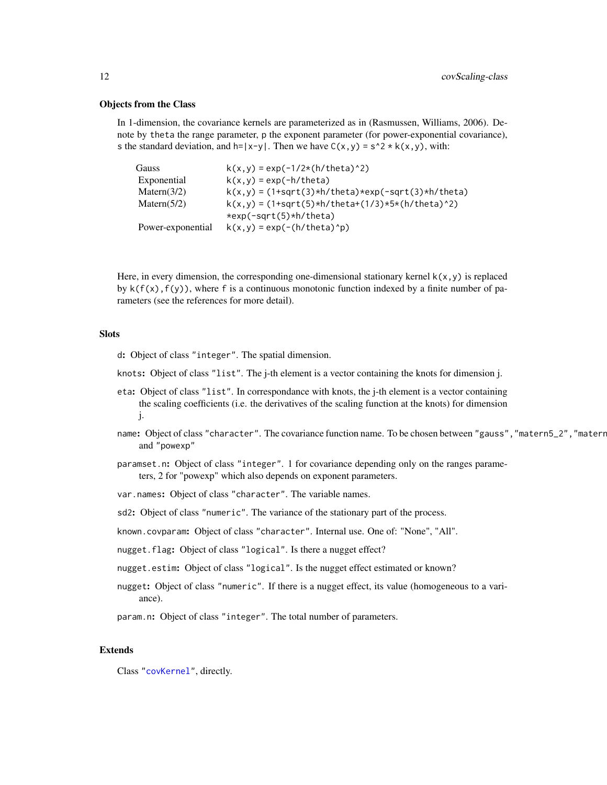#### <span id="page-11-0"></span>Objects from the Class

In 1-dimension, the covariance kernels are parameterized as in (Rasmussen, Williams, 2006). Denote by theta the range parameter, p the exponent parameter (for power-exponential covariance), s the standard deviation, and  $h=|x-y|$ . Then we have  $C(x,y) = s^2 * k(x,y)$ , with:

| <b>Gauss</b>      | $k(x, y) = exp(-1/2*(h/theta a)^2)$                  |
|-------------------|------------------------------------------------------|
| Exponential       | $k(x,y) = exp(-h/theta)$                             |
| Matern $(3/2)$    | $k(x,y) = (1+sqrt(3)*h/theta)*exp(-sqrt(3)*h/theta)$ |
| Matern $(5/2)$    | $k(x,y) = (1+sqrt(5)*h/theta+1/3)*5*(h/theta+2)$     |
|                   | $*exp(-sqrt(5)*h/theta)$                             |
| Power-exponential | $k(x,y) = exp(-(h/theta a)^n p)$                     |

Here, in every dimension, the corresponding one-dimensional stationary kernel  $k(x, y)$  is replaced by  $k(f(x), f(y))$ , where f is a continuous monotonic function indexed by a finite number of parameters (see the references for more detail).

# **Slots**

- d: Object of class "integer". The spatial dimension.
- knots: Object of class "list". The j-th element is a vector containing the knots for dimension j.
- eta: Object of class "list". In correspondance with knots, the j-th element is a vector containing the scaling coefficients (i.e. the derivatives of the scaling function at the knots) for dimension j.
- name: Object of class "character". The covariance function name. To be chosen between "gauss", "matern5\_2", "materr and "powexp"
- paramset.n: Object of class "integer". 1 for covariance depending only on the ranges parameters, 2 for "powexp" which also depends on exponent parameters.
- var.names: Object of class "character". The variable names.
- sd2: Object of class "numeric". The variance of the stationary part of the process.
- known.covparam: Object of class "character". Internal use. One of: "None", "All".
- nugget.flag: Object of class "logical". Is there a nugget effect?
- nugget.estim: Object of class "logical". Is the nugget effect estimated or known?
- nugget: Object of class "numeric". If there is a nugget effect, its value (homogeneous to a variance).
- param.n: Object of class "integer". The total number of parameters.

# Extends

Class ["covKernel"](#page-8-1), directly.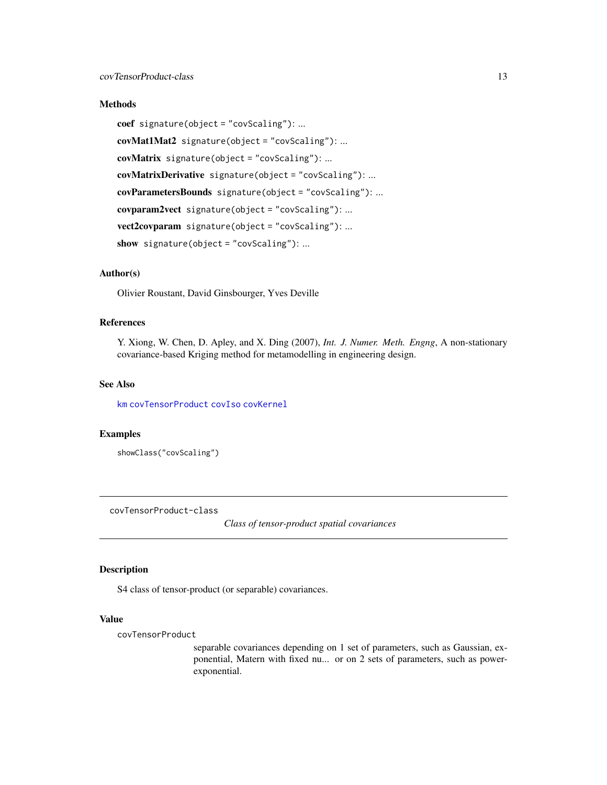# <span id="page-12-0"></span>Methods

coef signature(object = "covScaling"): ... covMat1Mat2 signature(object = "covScaling"): ... covMatrix signature(object = "covScaling"): ... covMatrixDerivative signature(object = "covScaling"): ... covParametersBounds signature(object = "covScaling"): ... covparam2vect signature(object = "covScaling"): ... vect2covparam signature(object = "covScaling"): ... show signature(object = "covScaling"): ...

# Author(s)

Olivier Roustant, David Ginsbourger, Yves Deville

# References

Y. Xiong, W. Chen, D. Apley, and X. Ding (2007), *Int. J. Numer. Meth. Engng*, A non-stationary covariance-based Kriging method for metamodelling in engineering design.

# See Also

[km](#page-29-1) [covTensorProduct](#page-12-1) [covIso](#page-6-1) [covKernel](#page-8-1)

#### Examples

showClass("covScaling")

<span id="page-12-1"></span>covTensorProduct-class

*Class of tensor-product spatial covariances*

# Description

S4 class of tensor-product (or separable) covariances.

# Value

covTensorProduct

separable covariances depending on 1 set of parameters, such as Gaussian, exponential, Matern with fixed nu... or on 2 sets of parameters, such as powerexponential.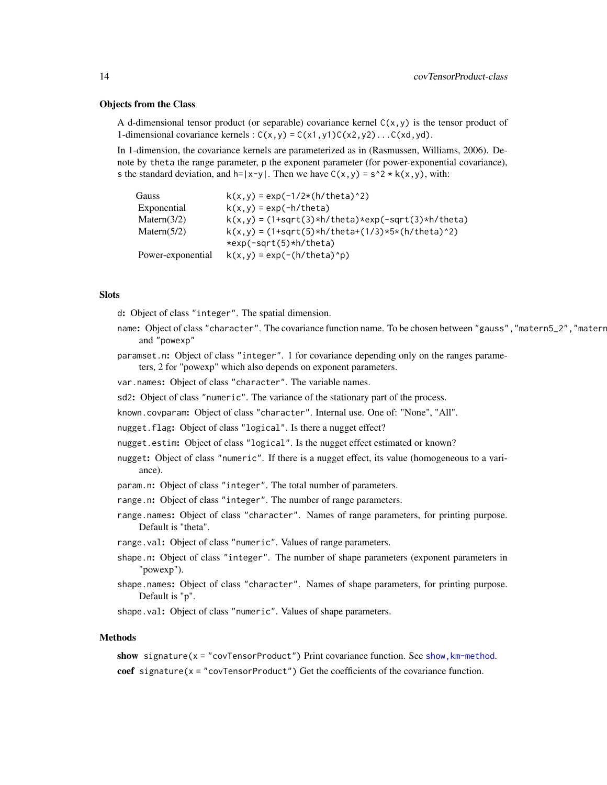#### Objects from the Class

A d-dimensional tensor product (or separable) covariance kernel  $C(x,y)$  is the tensor product of 1-dimensional covariance kernels :  $C(x, y) = C(x1, y1)C(x2, y2) \dots C(xd, yd)$ .

In 1-dimension, the covariance kernels are parameterized as in (Rasmussen, Williams, 2006). Denote by theta the range parameter, p the exponent parameter (for power-exponential covariance), s the standard deviation, and  $h=|x-y|$ . Then we have  $C(x,y) = s^2 * k(x,y)$ , with:

| Gauss             | $k(x,y) = exp(-1/2*(h/theta a)^2)$                                |
|-------------------|-------------------------------------------------------------------|
| Exponential       | $k(x,y) = exp(-h/theta)$                                          |
| Matern $(3/2)$    | $k(x, y) = (1 + sqrt(3) * h / theta) * exp(-sqrt(3) * h / theta)$ |
| Matern $(5/2)$    | $k(x,y) = (1+sqrt(5)*h/theta+1/3)*5*(h/theta+2)$                  |
|                   | $*exp(-sqrt(5)*h/theta)$                                          |
| Power-exponential | $k(x,y) = exp(-(h/theta a)^n p)$                                  |

#### **Slots**

d: Object of class "integer". The spatial dimension.

- name: Object of class "character". The covariance function name. To be chosen between "gauss", "matern5\_2", "matern and "powexp"
- paramset.n: Object of class "integer". 1 for covariance depending only on the ranges parameters, 2 for "powexp" which also depends on exponent parameters.

var.names: Object of class "character". The variable names.

- sd2: Object of class "numeric". The variance of the stationary part of the process.
- known.covparam: Object of class "character". Internal use. One of: "None", "All".
- nugget.flag: Object of class "logical". Is there a nugget effect?
- nugget.estim: Object of class "logical". Is the nugget effect estimated or known?
- nugget: Object of class "numeric". If there is a nugget effect, its value (homogeneous to a variance).
- param.n: Object of class "integer". The total number of parameters.
- range.n: Object of class "integer". The number of range parameters.
- range.names: Object of class "character". Names of range parameters, for printing purpose. Default is "theta".

range.val: Object of class "numeric". Values of range parameters.

- shape.n: Object of class "integer". The number of shape parameters (exponent parameters in "powexp").
- shape.names: Object of class "character". Names of shape parameters, for printing purpose. Default is "p".

shape.val: Object of class "numeric". Values of shape parameters.

#### Methods

show signature( $x =$  "covTensorProduct") Print covariance function. See show, km-method. coef signature(x = "covTensorProduct") Get the coefficients of the covariance function.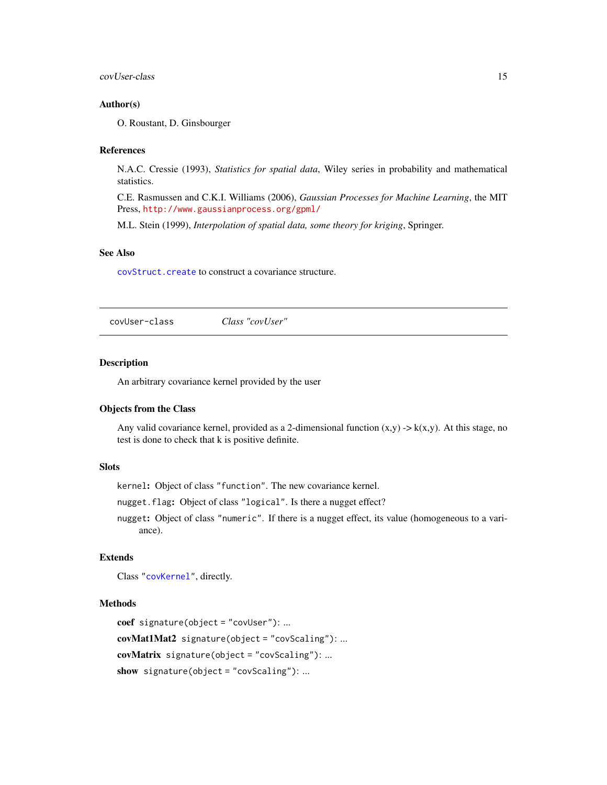#### <span id="page-14-0"></span>covUser-class 15

#### Author(s)

O. Roustant, D. Ginsbourger

#### References

N.A.C. Cressie (1993), *Statistics for spatial data*, Wiley series in probability and mathematical statistics.

C.E. Rasmussen and C.K.I. Williams (2006), *Gaussian Processes for Machine Learning*, the MIT Press, <http://www.gaussianprocess.org/gpml/>

M.L. Stein (1999), *Interpolation of spatial data, some theory for kriging*, Springer.

#### See Also

[covStruct.create](#page-0-0) to construct a covariance structure.

covUser-class *Class "covUser"*

#### Description

An arbitrary covariance kernel provided by the user

# Objects from the Class

Any valid covariance kernel, provided as a 2-dimensional function  $(x,y) \rightarrow k(x,y)$ . At this stage, no test is done to check that k is positive definite.

# **Slots**

kernel: Object of class "function". The new covariance kernel.

nugget.flag: Object of class "logical". Is there a nugget effect?

nugget: Object of class "numeric". If there is a nugget effect, its value (homogeneous to a variance).

#### Extends

Class ["covKernel"](#page-8-1), directly.

#### Methods

```
coef signature(object = "covUser"): ...
covMat1Mat2 signature(object = "covScaling"): ...
covMatrix signature(object = "covScaling"): ...
show signature(object = "covScaling"): ...
```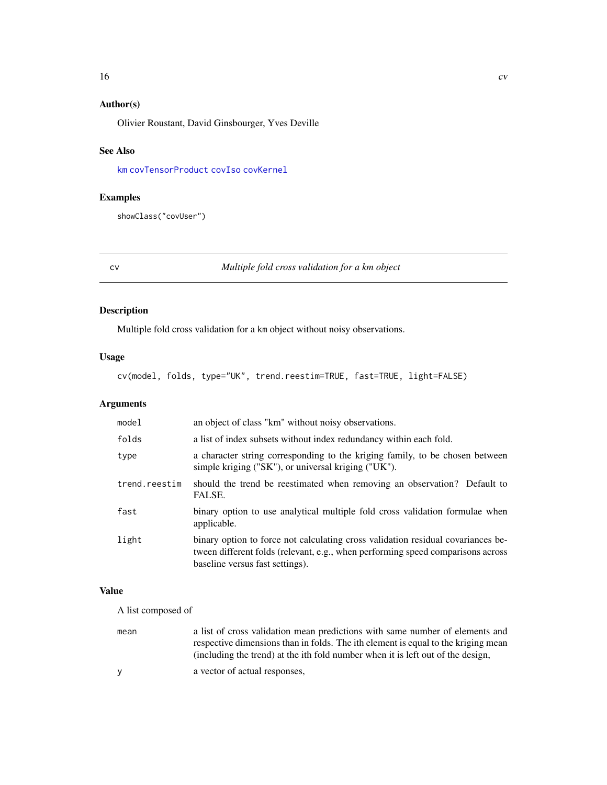# <span id="page-15-0"></span>Author(s)

Olivier Roustant, David Ginsbourger, Yves Deville

# See Also

[km](#page-29-1) [covTensorProduct](#page-12-1) [covIso](#page-6-1) [covKernel](#page-8-1)

# Examples

showClass("covUser")

<span id="page-15-1"></span>cv *Multiple fold cross validation for a km object*

# Description

Multiple fold cross validation for a km object without noisy observations.

# Usage

cv(model, folds, type="UK", trend.reestim=TRUE, fast=TRUE, light=FALSE)

# Arguments

| model         | an object of class "km" without noisy observations.                                                                                                                                                    |  |  |
|---------------|--------------------------------------------------------------------------------------------------------------------------------------------------------------------------------------------------------|--|--|
| folds         | a list of index subsets without index redundancy within each fold.                                                                                                                                     |  |  |
| type          | a character string corresponding to the kriging family, to be chosen between<br>simple kriging ("SK"), or universal kriging ("UK").                                                                    |  |  |
| trend.reestim | should the trend be reestimated when removing an observation? Default to<br>FALSE.                                                                                                                     |  |  |
| fast          | binary option to use analytical multiple fold cross validation formulae when<br>applicable.                                                                                                            |  |  |
| light         | binary option to force not calculating cross validation residual covariances be-<br>tween different folds (relevant, e.g., when performing speed comparisons across<br>baseline versus fast settings). |  |  |

# Value

A list composed of

| mean | a list of cross validation mean predictions with same number of elements and<br>respective dimensions than in folds. The ith element is equal to the kriging mean<br>(including the trend) at the ith fold number when it is left out of the design, |
|------|------------------------------------------------------------------------------------------------------------------------------------------------------------------------------------------------------------------------------------------------------|
| v    | a vector of actual responses,                                                                                                                                                                                                                        |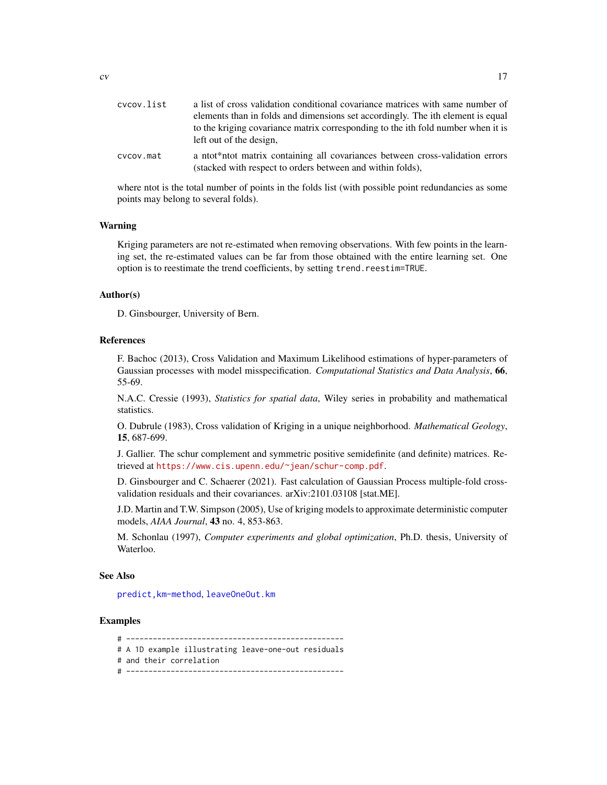<span id="page-16-0"></span>

| cvcov.list | a list of cross validation conditional covariance matrices with same number of                                                              |  |  |
|------------|---------------------------------------------------------------------------------------------------------------------------------------------|--|--|
|            | elements than in folds and dimensions set accordingly. The ith element is equal                                                             |  |  |
|            | to the kriging covariance matrix corresponding to the ith fold number when it is<br>left out of the design,                                 |  |  |
| cvcov.mat  | a ntot*ntot matrix containing all covariances between cross-validation errors<br>(stacked with respect to orders between and within folds), |  |  |

where ntot is the total number of points in the folds list (with possible point redundancies as some points may belong to several folds).

#### Warning

Kriging parameters are not re-estimated when removing observations. With few points in the learning set, the re-estimated values can be far from those obtained with the entire learning set. One option is to reestimate the trend coefficients, by setting trend.reestim=TRUE.

#### Author(s)

D. Ginsbourger, University of Bern.

#### References

F. Bachoc (2013), Cross Validation and Maximum Likelihood estimations of hyper-parameters of Gaussian processes with model misspecification. *Computational Statistics and Data Analysis*, 66, 55-69.

N.A.C. Cressie (1993), *Statistics for spatial data*, Wiley series in probability and mathematical statistics.

O. Dubrule (1983), Cross validation of Kriging in a unique neighborhood. *Mathematical Geology*, 15, 687-699.

J. Gallier. The schur complement and symmetric positive semidefinite (and definite) matrices. Retrieved at <https://www.cis.upenn.edu/~jean/schur-comp.pdf>.

D. Ginsbourger and C. Schaerer (2021). Fast calculation of Gaussian Process multiple-fold crossvalidation residuals and their covariances. arXiv:2101.03108 [stat.ME].

J.D. Martin and T.W. Simpson (2005), Use of kriging models to approximate deterministic computer models, *AIAA Journal*, 43 no. 4, 853-863.

M. Schonlau (1997), *Computer experiments and global optimization*, Ph.D. thesis, University of Waterloo.

#### See Also

[predict,km-method](#page-0-0), [leaveOneOut.km](#page-31-1)

#### Examples

# -------------------------------------------------

- # A 1D example illustrating leave-one-out residuals
- # and their correlation
- # -------------------------------------------------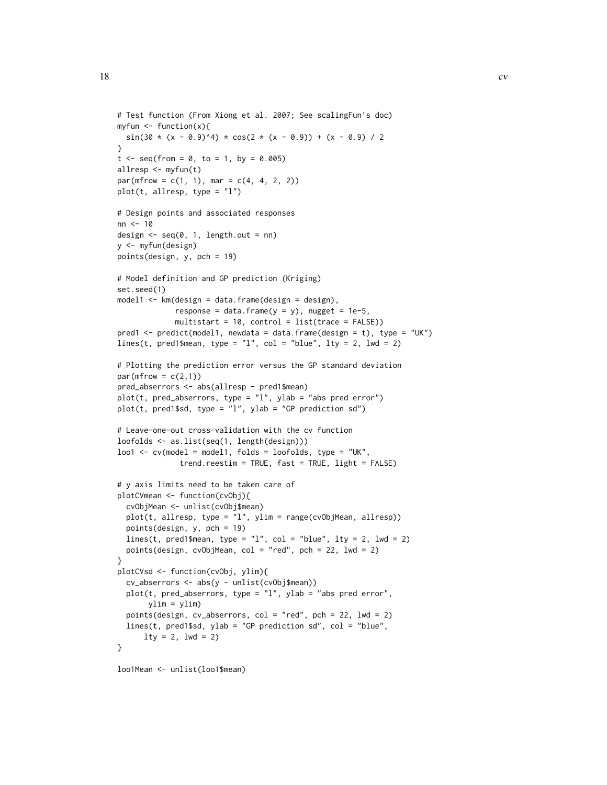```
# Test function (From Xiong et al. 2007; See scalingFun's doc)
myfun \leq function(x){
 sin(30 \times (x - 0.9)^{4}) \times cos(2 \times (x - 0.9)) + (x - 0.9) / 2}
t \leq -\text{seq}(\text{from} = 0, \text{to} = 1, \text{by} = 0.005)allresp <- myfun(t)
par(mfrow = c(1, 1), mar = c(4, 4, 2, 2))plot(t, allresp, type = "l")# Design points and associated responses
nn < - 10design \leq seq(0, 1, length.out = nn)
y <- myfun(design)
points(design, y, pch = 19)
# Model definition and GP prediction (Kriging)
set.seed(1)
model1 \leftarrow km(design = data-frame(design = design),response = data.frame(y = y), nugget = 1e-5,
             multistart = 10, control = list(trace = FALSE))
pred1 <- predict(model1, newdata = data.frame(design = t), type = "UK")
lines(t, pred1$mean, type = "l", col = "blue", lty = 2, lwd = 2)
# Plotting the prediction error versus the GP standard deviation
par(mfrow = c(2,1))pred_abserrors <- abs(allresp - pred1$mean)
plot(t, pred_abserrors, type = "l", ylab = "abs pred error")
plot(t, pred1$sd, type = "l", ylab = "GP prediction sd")
# Leave-one-out cross-validation with the cv function
loofolds <- as.list(seq(1, length(design)))
lool \leq cv \pmod{e} = model1, folds = loofolds, type = "UK",
              trend.reestim = TRUE, fast = TRUE, light = FALSE)
# y axis limits need to be taken care of
plotCVmean <- function(cvObj){
  cvObjMean <- unlist(cvObj$mean)
  plot(t, allresp, type = "l", ylim = range(cvObjMean, allresp))
  points(design, y, pch = 19)
  lines(t, pred1$mean, type = "l", col = "blue", lty = 2, lwd = 2)
  points(design, cvObjMean, col = "red", pch = 22, lwd = 2)
}
plotCVsd <- function(cvObj, ylim){
  cv_abserrors <- abs(y - unlist(cvObj$mean))
  plot(t, pred_abserrors, type = "1", ylab = "abs pred error",
       ylim = ylim)
  points(design, cv_abserrors, col = "red", pch = 22, lwd = 2)
  lines(t, pred1$sd, ylab = "GP prediction sd", col = "blue",
      lty = 2, lwd = 2)}
```
loo1Mean <- unlist(loo1\$mean)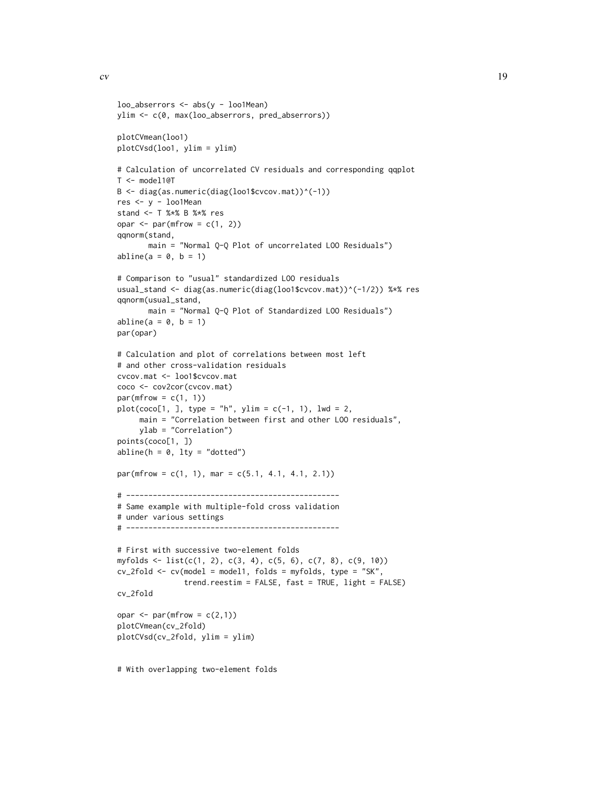```
loo\_{abserrors} < -\nabla(s) - \nabla(m)ylim <- c(0, max(loo_abserrors, pred_abserrors))
plotCVmean(loo1)
plotCVsd(loo1, ylim = ylim)
# Calculation of uncorrelated CV residuals and corresponding qqplot
T <- model1@T
B \leftarrow diag(as.numeric(diag(loo1$cvcov.math))^(-1))res <- y - loo1Mean
stand <- T %*% B %*% res
opar \leq par(mfrow = c(1, 2))
qqnorm(stand,
       main = "Normal Q-Q Plot of uncorrelated LOO Residuals")
abline(a = 0, b = 1)# Comparison to "usual" standardized LOO residuals
usual_stand <- diag(as.numeric(diag(loo1$cvcov.mat))^(-1/2)) %*% res
qqnorm(usual_stand,
       main = "Normal Q-Q Plot of Standardized LOO Residuals")
abline(a = 0, b = 1)
par(opar)
# Calculation and plot of correlations between most left
# and other cross-validation residuals
cvcov.mat <- loo1$cvcov.mat
coco <- cov2cor(cvcov.mat)
par(mfrow = c(1, 1))plot(coco[1,], type = "h", ylim = c(-1, 1), lwd = 2,main = "Correlation between first and other LOO residuals",
     ylab = "Correlation")
points(coco[1, ])
abline(h = 0, 1ty = "dotted")par(mfrow = c(1, 1), mar = c(5.1, 4.1, 4.1, 2.1))# ------------------------------------------------
# Same example with multiple-fold cross validation
# under various settings
# ------------------------------------------------
# First with successive two-element folds
myfolds <- list(c(1, 2), c(3, 4), c(5, 6), c(7, 8), c(9, 10))
cv_2fold <- cv(model = model1, folds = myfolds, type = "SK",
               trend.reestim = FALSE, fast = TRUE, light = FALSE)
cv_2fold
opar \leq par(mfrow = c(2,1))
plotCVmean(cv_2fold)
plotCVsd(cv_2fold, ylim = ylim)
```
# With overlapping two-element folds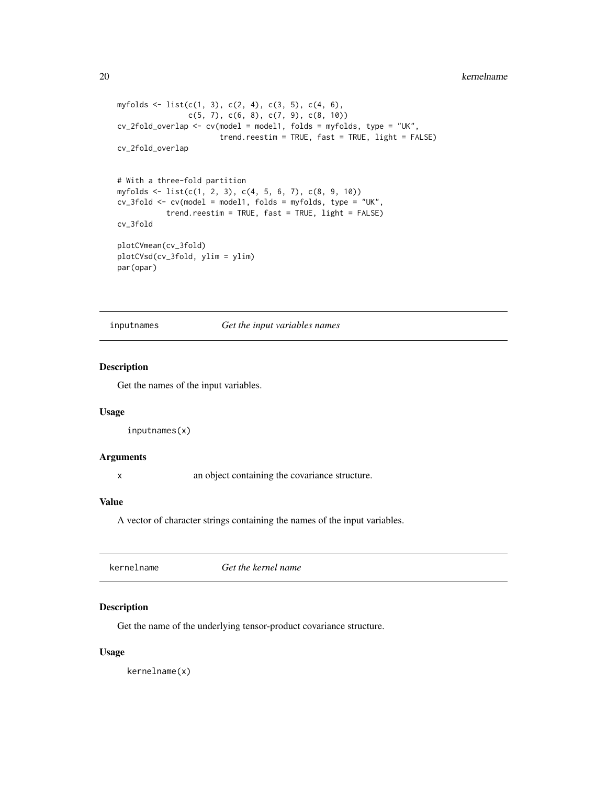```
myfolds \leq list(c(1, 3), c(2, 4), c(3, 5), c(4, 6),
                c(5, 7), c(6, 8), c(7, 9), c(8, 10)cv_2fold_overlap <- cv(model = model1, folds = myfolds, type = "UK",
                       trend.reestim = TRUE, fast = TRUE, light = FALSE)
cv_2fold_overlap
# With a three-fold partition
myfolds <- list(c(1, 2, 3), c(4, 5, 6, 7), c(8, 9, 10))
cv_3fold <- cv(model = model1, folds = myfolds, type = "UK",
           trend.reestim = TRUE, fast = TRUE, light = FALSE)
cv_3fold
plotCVmean(cv_3fold)
plotCVsd(cv_3fold, ylim = ylim)
par(opar)
```
inputnames *Get the input variables names*

# Description

Get the names of the input variables.

#### Usage

```
inputnames(x)
```
#### Arguments

x an object containing the covariance structure.

# Value

A vector of character strings containing the names of the input variables.

# Description

Get the name of the underlying tensor-product covariance structure.

#### Usage

kernelname(x)

<span id="page-19-0"></span>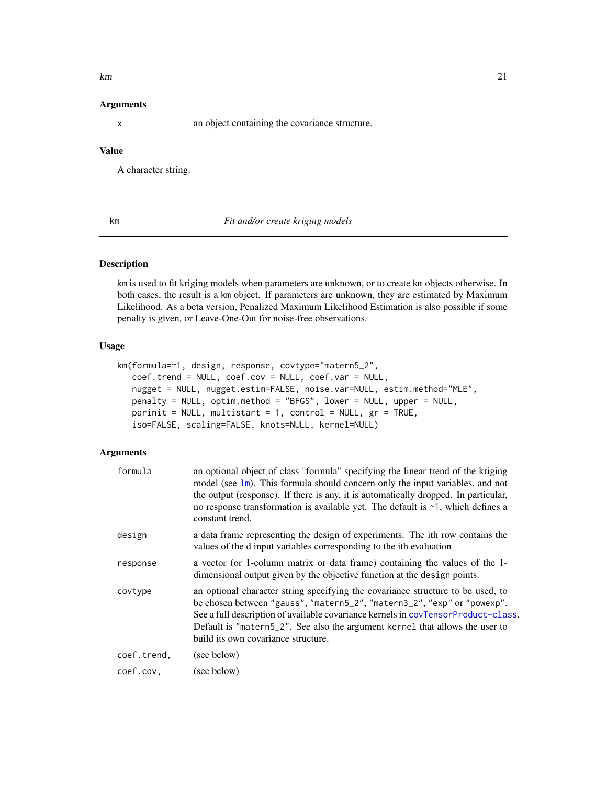#### <span id="page-20-0"></span> $km$  21

#### **Arguments**

x an object containing the covariance structure.

# Value

A character string.

<span id="page-20-1"></span>km *Fit and/or create kriging models*

#### Description

km is used to fit kriging models when parameters are unknown, or to create km objects otherwise. In both cases, the result is a km object. If parameters are unknown, they are estimated by Maximum Likelihood. As a beta version, Penalized Maximum Likelihood Estimation is also possible if some penalty is given, or Leave-One-Out for noise-free observations.

# Usage

```
km(formula=~1, design, response, covtype="matern5_2",
  coef.trend = NULL, coef.cov = NULL, coef.var = NULL,
   nugget = NULL, nugget.estim=FALSE, noise.var=NULL, estim.method="MLE",
  penalty = NULL, optim.method = "BFGS", lower = NULL, upper = NULL,
  parinit = NULL, multistart = 1, control = NULL, gr = TRUE,
   iso=FALSE, scaling=FALSE, knots=NULL, kernel=NULL)
```
# Arguments

| formula     | an optional object of class "formula" specifying the linear trend of the kriging<br>model (see $\text{lm}$ ). This formula should concern only the input variables, and not<br>the output (response). If there is any, it is automatically dropped. In particular,<br>no response transformation is available yet. The default is $\sim$ 1, which defines a<br>constant trend. |
|-------------|--------------------------------------------------------------------------------------------------------------------------------------------------------------------------------------------------------------------------------------------------------------------------------------------------------------------------------------------------------------------------------|
| design      | a data frame representing the design of experiments. The ith row contains the<br>values of the d input variables corresponding to the ith evaluation                                                                                                                                                                                                                           |
| response    | a vector (or 1-column matrix or data frame) containing the values of the 1-<br>dimensional output given by the objective function at the design points.                                                                                                                                                                                                                        |
| covtype     | an optional character string specifying the covariance structure to be used, to<br>be chosen between "gauss", "matern5_2", "matern3_2", "exp" or "powexp".<br>See a full description of available covariance kernels in covTensorProduct-class.<br>Default is "matern5_2". See also the argument kernel that allows the user to<br>build its own covariance structure.         |
| coef.trend. | (see below)                                                                                                                                                                                                                                                                                                                                                                    |
| coef.cov.   | (see below)                                                                                                                                                                                                                                                                                                                                                                    |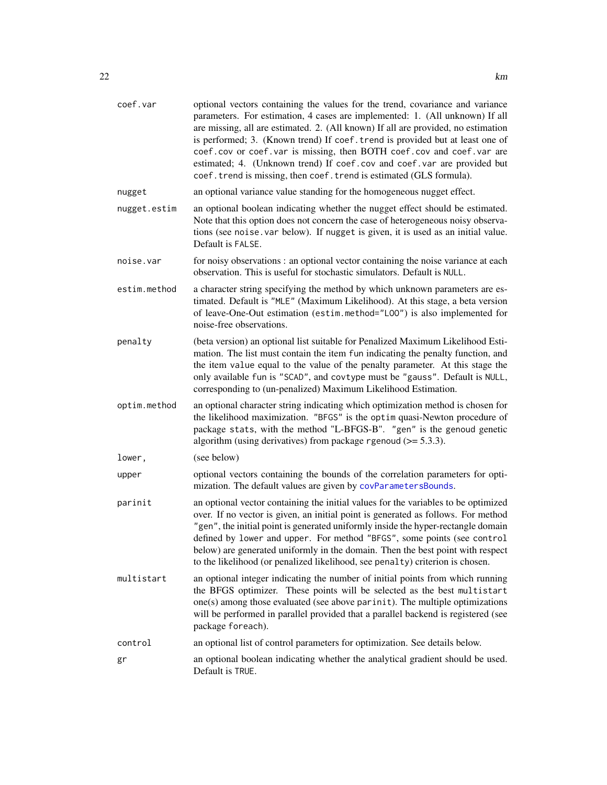<span id="page-21-0"></span>

| coef.var     | optional vectors containing the values for the trend, covariance and variance<br>parameters. For estimation, 4 cases are implemented: 1. (All unknown) If all<br>are missing, all are estimated. 2. (All known) If all are provided, no estimation<br>is performed; 3. (Known trend) If coef. trend is provided but at least one of<br>coef.cov or coef.var is missing, then BOTH coef.cov and coef.var are<br>estimated; 4. (Unknown trend) If coef.cov and coef.var are provided but<br>coef.trend is missing, then coef.trend is estimated (GLS formula). |  |
|--------------|--------------------------------------------------------------------------------------------------------------------------------------------------------------------------------------------------------------------------------------------------------------------------------------------------------------------------------------------------------------------------------------------------------------------------------------------------------------------------------------------------------------------------------------------------------------|--|
| nugget       | an optional variance value standing for the homogeneous nugget effect.                                                                                                                                                                                                                                                                                                                                                                                                                                                                                       |  |
| nugget.estim | an optional boolean indicating whether the nugget effect should be estimated.<br>Note that this option does not concern the case of heterogeneous noisy observa-<br>tions (see noise. var below). If nugget is given, it is used as an initial value.<br>Default is FALSE.                                                                                                                                                                                                                                                                                   |  |
| noise.var    | for noisy observations : an optional vector containing the noise variance at each<br>observation. This is useful for stochastic simulators. Default is NULL.                                                                                                                                                                                                                                                                                                                                                                                                 |  |
| estim.method | a character string specifying the method by which unknown parameters are es-<br>timated. Default is "MLE" (Maximum Likelihood). At this stage, a beta version<br>of leave-One-Out estimation (estim.method="L00") is also implemented for<br>noise-free observations.                                                                                                                                                                                                                                                                                        |  |
| penalty      | (beta version) an optional list suitable for Penalized Maximum Likelihood Esti-<br>mation. The list must contain the item fun indicating the penalty function, and<br>the item value equal to the value of the penalty parameter. At this stage the<br>only available fun is "SCAD", and covtype must be "gauss". Default is NULL,<br>corresponding to (un-penalized) Maximum Likelihood Estimation.                                                                                                                                                         |  |
| optim.method | an optional character string indicating which optimization method is chosen for<br>the likelihood maximization. "BFGS" is the optim quasi-Newton procedure of<br>package stats, with the method "L-BFGS-B". "gen" is the genoud genetic<br>algorithm (using derivatives) from package rgenoud $(>= 5.3.3)$ .                                                                                                                                                                                                                                                 |  |
| lower,       | (see below)                                                                                                                                                                                                                                                                                                                                                                                                                                                                                                                                                  |  |
| upper        | optional vectors containing the bounds of the correlation parameters for opti-<br>mization. The default values are given by covParametersBounds.                                                                                                                                                                                                                                                                                                                                                                                                             |  |
| parinit      | an optional vector containing the initial values for the variables to be optimized<br>over. If no vector is given, an initial point is generated as follows. For method<br>"gen", the initial point is generated uniformly inside the hyper-rectangle domain<br>defined by lower and upper. For method "BFGS", some points (see control<br>below) are generated uniformly in the domain. Then the best point with respect<br>to the likelihood (or penalized likelihood, see penalty) criterion is chosen.                                                   |  |
| multistart   | an optional integer indicating the number of initial points from which running<br>the BFGS optimizer. These points will be selected as the best multistart<br>one(s) among those evaluated (see above parinit). The multiple optimizations<br>will be performed in parallel provided that a parallel backend is registered (see<br>package foreach).                                                                                                                                                                                                         |  |
| control      | an optional list of control parameters for optimization. See details below.                                                                                                                                                                                                                                                                                                                                                                                                                                                                                  |  |
| gr           | an optional boolean indicating whether the analytical gradient should be used.<br>Default is TRUE.                                                                                                                                                                                                                                                                                                                                                                                                                                                           |  |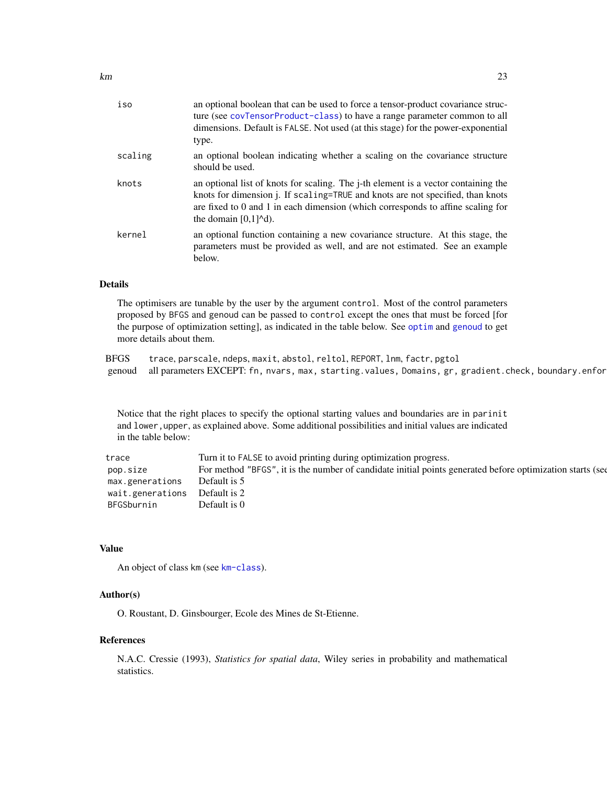<span id="page-22-0"></span>

| iso     | an optional boolean that can be used to force a tensor-product covariance struc-<br>ture (see covTensorProduct-class) to have a range parameter common to all<br>dimensions. Default is FALSE. Not used (at this stage) for the power-exponential<br>type.                                                               |
|---------|--------------------------------------------------------------------------------------------------------------------------------------------------------------------------------------------------------------------------------------------------------------------------------------------------------------------------|
| scaling | an optional boolean indicating whether a scaling on the covariance structure<br>should be used.                                                                                                                                                                                                                          |
| knots   | an optional list of knots for scaling. The <i>j</i> -th element is a vector containing the<br>knots for dimension j. If scaling=TRUE and knots are not specified, than knots<br>are fixed to 0 and 1 in each dimension (which corresponds to affine scaling for<br>the domain $[0,1]$ <sup><math>\wedge</math></sup> d). |
| kernel  | an optional function containing a new covariance structure. At this stage, the<br>parameters must be provided as well, and are not estimated. See an example<br>below.                                                                                                                                                   |

# Details

The optimisers are tunable by the user by the argument control. Most of the control parameters proposed by BFGS and genoud can be passed to control except the ones that must be forced [for the purpose of optimization setting], as indicated in the table below. See [optim](#page-0-0) and [genoud](#page-0-0) to get more details about them.

BFGS trace, parscale, ndeps, maxit, abstol, reltol, REPORT, lnm, factr, pgtol genoud all parameters EXCEPT: fn, nvars, max, starting.values, Domains, gr, gradient.check, boundary.enfor

Notice that the right places to specify the optional starting values and boundaries are in parinit and lower, upper, as explained above. Some additional possibilities and initial values are indicated in the table below:

| trace                         | Turn it to FALSE to avoid printing during optimization progress.                                          |  |
|-------------------------------|-----------------------------------------------------------------------------------------------------------|--|
| pop.size                      | For method "BFGS", it is the number of candidate initial points generated before optimization starts (see |  |
| max.generations               | Default is 5                                                                                              |  |
| wait.generations Default is 2 |                                                                                                           |  |
| BFGSburnin                    | Default is 0                                                                                              |  |

#### Value

An object of class km (see [km-class](#page-29-1)).

# Author(s)

O. Roustant, D. Ginsbourger, Ecole des Mines de St-Etienne.

#### References

N.A.C. Cressie (1993), *Statistics for spatial data*, Wiley series in probability and mathematical statistics.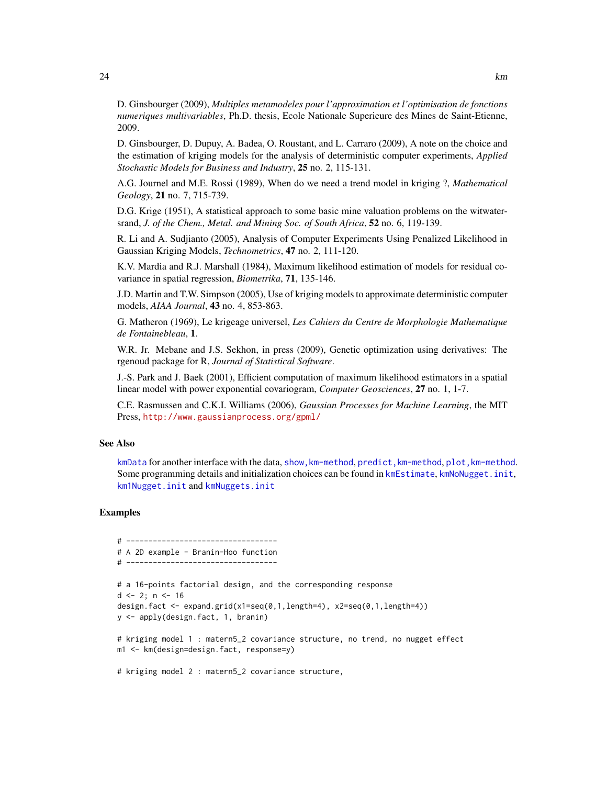<span id="page-23-0"></span>D. Ginsbourger (2009), *Multiples metamodeles pour l'approximation et l'optimisation de fonctions numeriques multivariables*, Ph.D. thesis, Ecole Nationale Superieure des Mines de Saint-Etienne, 2009.

D. Ginsbourger, D. Dupuy, A. Badea, O. Roustant, and L. Carraro (2009), A note on the choice and the estimation of kriging models for the analysis of deterministic computer experiments, *Applied Stochastic Models for Business and Industry*, 25 no. 2, 115-131.

A.G. Journel and M.E. Rossi (1989), When do we need a trend model in kriging ?, *Mathematical Geology*, 21 no. 7, 715-739.

D.G. Krige (1951), A statistical approach to some basic mine valuation problems on the witwatersrand, *J. of the Chem., Metal. and Mining Soc. of South Africa*, 52 no. 6, 119-139.

R. Li and A. Sudjianto (2005), Analysis of Computer Experiments Using Penalized Likelihood in Gaussian Kriging Models, *Technometrics*, 47 no. 2, 111-120.

K.V. Mardia and R.J. Marshall (1984), Maximum likelihood estimation of models for residual covariance in spatial regression, *Biometrika*, 71, 135-146.

J.D. Martin and T.W. Simpson (2005), Use of kriging models to approximate deterministic computer models, *AIAA Journal*, 43 no. 4, 853-863.

G. Matheron (1969), Le krigeage universel, *Les Cahiers du Centre de Morphologie Mathematique de Fontainebleau*, 1.

W.R. Jr. Mebane and J.S. Sekhon, in press (2009), Genetic optimization using derivatives: The rgenoud package for R, *Journal of Statistical Software*.

J.-S. Park and J. Baek (2001), Efficient computation of maximum likelihood estimators in a spatial linear model with power exponential covariogram, *Computer Geosciences*, 27 no. 1, 1-7.

C.E. Rasmussen and C.K.I. Williams (2006), *Gaussian Processes for Machine Learning*, the MIT Press, <http://www.gaussianprocess.org/gpml/>

#### See Also

[kmData](#page-30-1) for another interface with the data, show, km-method, predict, km-method, plot, km-method. Some programming details and initialization choices can be found in [kmEstimate](#page-0-0), [kmNoNugget.init](#page-0-0), [km1Nugget.init](#page-0-0) and [kmNuggets.init](#page-0-0)

#### Examples

```
# ----------------------------------
# A 2D example - Branin-Hoo function
# ----------------------------------
# a 16-points factorial design, and the corresponding response
d \leq 2; n \leq -16design.fact <- expand.grid(x1=seq(0,1,length=4), x2=seq(0,1,length=4))
y <- apply(design.fact, 1, branin)
# kriging model 1 : matern5_2 covariance structure, no trend, no nugget effect
m1 <- km(design=design.fact, response=y)
# kriging model 2 : matern5_2 covariance structure,
```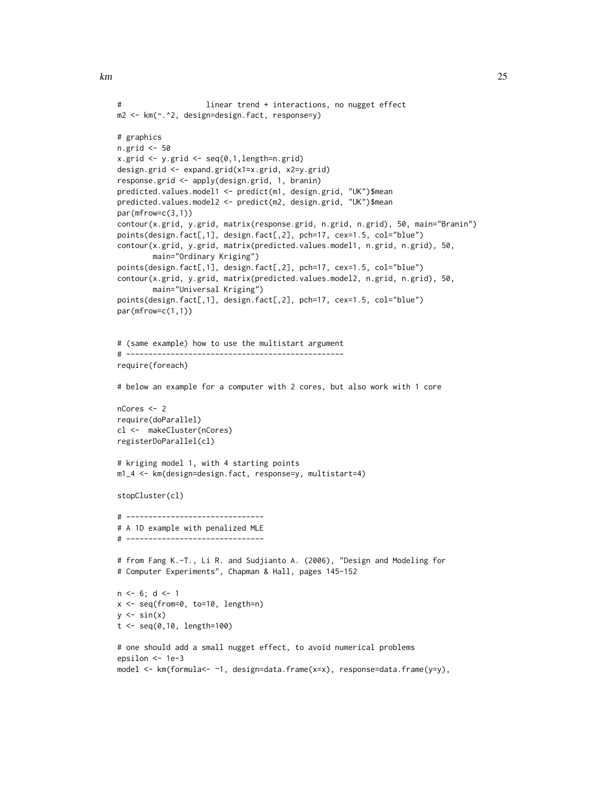```
# linear trend + interactions, no nugget effect
m2 <- km(~.^2, design=design.fact, response=y)
# graphics
n.grid <- 50
x.grid \leq y.grid \leq seq(0,1, length=n.grid)design.grid <- expand.grid(x1=x.grid, x2=y.grid)
response.grid <- apply(design.grid, 1, branin)
predicted.values.model1 <- predict(m1, design.grid, "UK")$mean
predicted.values.model2 <- predict(m2, design.grid, "UK")$mean
par(mfrow=c(3,1))
contour(x.grid, y.grid, matrix(response.grid, n.grid, n.grid), 50, main="Branin")
points(design.fact[,1], design.fact[,2], pch=17, cex=1.5, col="blue")
contour(x.grid, y.grid, matrix(predicted.values.model1, n.grid, n.grid), 50,
        main="Ordinary Kriging")
points(design.fact[,1], design.fact[,2], pch=17, cex=1.5, col="blue")
contour(x.grid, y.grid, matrix(predicted.values.model2, n.grid, n.grid), 50,
        main="Universal Kriging")
points(design.fact[,1], design.fact[,2], pch=17, cex=1.5, col="blue")
par(mfrow=c(1,1))
# (same example) how to use the multistart argument
# -------------------------------------------------
require(foreach)
# below an example for a computer with 2 cores, but also work with 1 core
nCores <- 2
require(doParallel)
cl <- makeCluster(nCores)
registerDoParallel(cl)
# kriging model 1, with 4 starting points
m1_4 <- km(design=design.fact, response=y, multistart=4)
stopCluster(cl)
# -------------------------------
# A 1D example with penalized MLE
# -------------------------------
# from Fang K.-T., Li R. and Sudjianto A. (2006), "Design and Modeling for
# Computer Experiments", Chapman & Hall, pages 145-152
n \le -6; d \le -1x <- seq(from=0, to=10, length=n)
y \leftarrow \sin(x)t <- seq(0,10, length=100)
# one should add a small nugget effect, to avoid numerical problems
epsilon <- 1e-3
model <- km(formula<- ~1, design=data.frame(x=x), response=data.frame(y=y),
```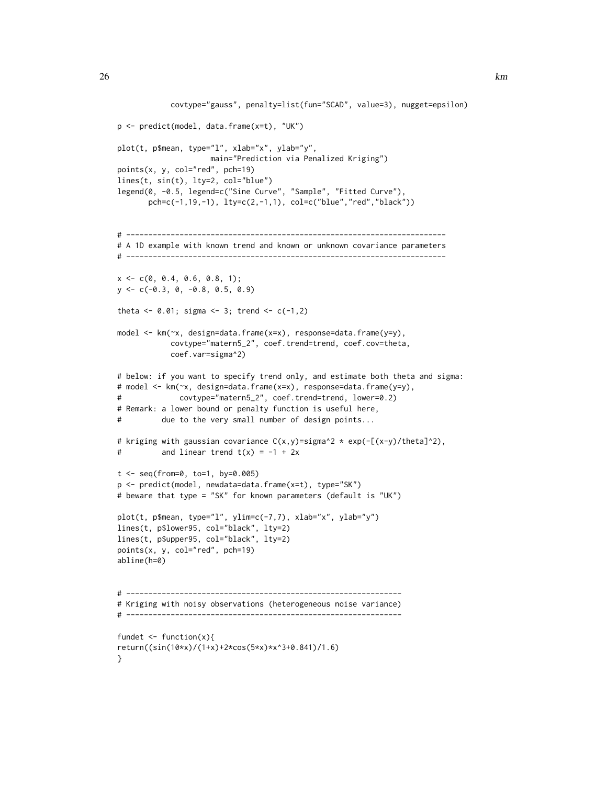```
covtype="gauss", penalty=list(fun="SCAD", value=3), nugget=epsilon)
p <- predict(model, data.frame(x=t), "UK")
plot(t, p$mean, type="l", xlab="x", ylab="y",
                    main="Prediction via Penalized Kriging")
points(x, y, col="red", pch=19)
lines(t, sin(t), lty=2, col="blue")
legend(0, -0.5, legend=c("Sine Curve", "Sample", "Fitted Curve"),
       pch=c(-1,19,-1), lty=c(2,-1,1), col=c("blue","red","black"))
# ------------------------------------------------------------------------
# A 1D example with known trend and known or unknown covariance parameters
# ------------------------------------------------------------------------
x \leq -c(0, 0.4, 0.6, 0.8, 1);y <- c(-0.3, 0, -0.8, 0.5, 0.9)
theta <- 0.01; sigma <- 3; trend <- c(-1, 2)model <- km(~x, design=data.frame(x=x), response=data.frame(y=y),
            covtype="matern5_2", coef.trend=trend, coef.cov=theta,
            coef.var=sigma^2)
# below: if you want to specify trend only, and estimate both theta and sigma:
# model <- km(~x, design=data.frame(x=x), response=data.frame(y=y),
# covtype="matern5_2", coef.trend=trend, lower=0.2)
# Remark: a lower bound or penalty function is useful here,
# due to the very small number of design points...
# kriging with gaussian covariance C(x,y)=sigma^2 * exp(-[(x-y)/theta]^2),
\# and linear trend t(x) = -1 + 2xt \leq - seq(from=0, to=1, by=0.005)
p <- predict(model, newdata=data.frame(x=t), type="SK")
# beware that type = "SK" for known parameters (default is "UK")
plot(t, p$mean, type="l", ylim=c(-7,7), xlab="x", ylab="y")
lines(t, p$lower95, col="black", lty=2)
lines(t, p$upper95, col="black", lty=2)
points(x, y, col="red", pch=19)
abline(h=0)
# --------------------------------------------------------------
# Kriging with noisy observations (heterogeneous noise variance)
# --------------------------------------------------------------
fundet \leq function(x){
return((sin(10*x)/(1+x)+2*cos(5*x)*x^3+0.841)/1.6)
}
```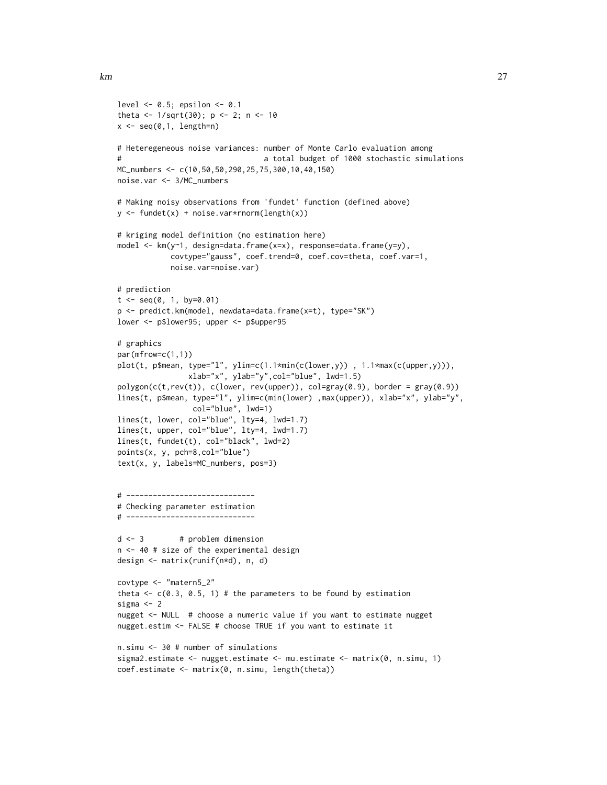```
level \leq 0.5; epsilon \leq 0.1theta <- 1/sqrt(30); p <- 2; n <- 10
x \leq -\text{seq}(0,1, \text{length=n})# Heteregeneous noise variances: number of Monte Carlo evaluation among
# a total budget of 1000 stochastic simulations
MC_numbers <- c(10,50,50,290,25,75,300,10,40,150)
noise.var <- 3/MC_numbers
# Making noisy observations from 'fundet' function (defined above)
y <- fundet(x) + noise.var*rnorm(length(x))
# kriging model definition (no estimation here)
model <- km(y~1, design=data.frame(x=x), response=data.frame(y=y),
            covtype="gauss", coef.trend=0, coef.cov=theta, coef.var=1,
            noise.var=noise.var)
# prediction
t < - seq(0, 1, by=0.01)
p <- predict.km(model, newdata=data.frame(x=t), type="SK")
lower <- p$lower95; upper <- p$upper95
# graphics
par(mfrow=c(1,1))
plot(t, p$mean, type="l", ylim=c(1.1*min(c(lower,y)) , 1.1*max(c(upper,y))),
                xlab="x", ylab="y",col="blue", lwd=1.5)
polygon(c(t,rev(t)), c(lower, rev(upper)), col=gray(0.9), border = gray(0.9))lines(t, p$mean, type="l", ylim=c(min(lower) ,max(upper)), xlab="x", ylab="y",
                col="blue", lwd=1)
lines(t, lower, col="blue", lty=4, lwd=1.7)
lines(t, upper, col="blue", lty=4, lwd=1.7)
lines(t, fundet(t), col="black", lwd=2)
points(x, y, pch=8,col="blue")
text(x, y, labels=MC_numbers, pos=3)
# -----------------------------
# Checking parameter estimation
# -----------------------------
d \leq -3 # problem dimension
n <- 40 # size of the experimental design
design <- matrix(runif(n*d), n, d)
covtype <- "matern5_2"
theta \leq c(0.3, 0.5, 1) # the parameters to be found by estimation
sigma <-2nugget <- NULL # choose a numeric value if you want to estimate nugget
nugget.estim <- FALSE # choose TRUE if you want to estimate it
n.simu <- 30 # number of simulations
sigma2.estimate <- nugget.estimate <- mu.estimate <- matrix(0, n.simu, 1)
coef.estimate <- matrix(0, n.simu, length(theta))
```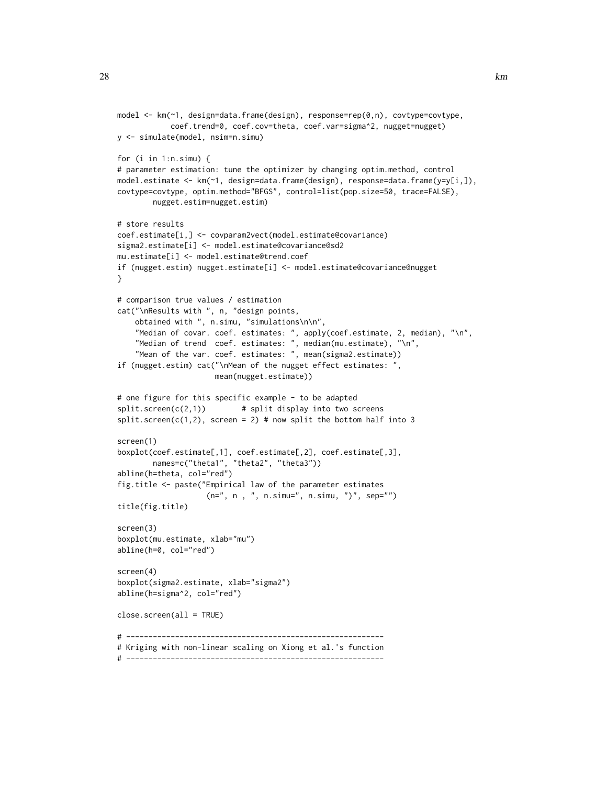```
model <- km(~1, design=data.frame(design), response=rep(0,n), covtype=covtype,
            coef.trend=0, coef.cov=theta, coef.var=sigma^2, nugget=nugget)
y <- simulate(model, nsim=n.simu)
for (i in 1:n.simu) {
# parameter estimation: tune the optimizer by changing optim.method, control
model.estimate <- km(~1, design=data.frame(design), response=data.frame(y=y[i,]),
covtype=covtype, optim.method="BFGS", control=list(pop.size=50, trace=FALSE),
        nugget.estim=nugget.estim)
# store results
coef.estimate[i,] <- covparam2vect(model.estimate@covariance)
sigma2.estimate[i] <- model.estimate@covariance@sd2
mu.estimate[i] <- model.estimate@trend.coef
if (nugget.estim) nugget.estimate[i] <- model.estimate@covariance@nugget
}
# comparison true values / estimation
cat("\nResults with ", n, "design points,
    obtained with ", n.simu, "simulations\n\n",
    "Median of covar. coef. estimates: ", apply(coef.estimate, 2, median), "\n",
    "Median of trend coef. estimates: ", median(mu.estimate), "\n",
    "Mean of the var. coef. estimates: ", mean(sigma2.estimate))
if (nugget.estim) cat("\nMean of the nugget effect estimates: ",
                      mean(nugget.estimate))
# one figure for this specific example - to be adapted
split.screen(c(2,1)) # split display into two screens
split.screen(c(1,2), screen = 2) # now split the bottom half into 3
screen(1)
boxplot(coef.estimate[,1], coef.estimate[,2], coef.estimate[,3],
        names=c("theta1", "theta2", "theta3"))
abline(h=theta, col="red")
fig.title <- paste("Empirical law of the parameter estimates
                    (n=", n , ", n.simu=", n.simu, ")", sep="")
title(fig.title)
screen(3)
boxplot(mu.estimate, xlab="mu")
abline(h=0, col="red")
screen(4)
boxplot(sigma2.estimate, xlab="sigma2")
abline(h=sigma^2, col="red")
close.screen(all = TRUE)
# ----------------------------------------------------------
# Kriging with non-linear scaling on Xiong et al.'s function
# ----------------------------------------------------------
```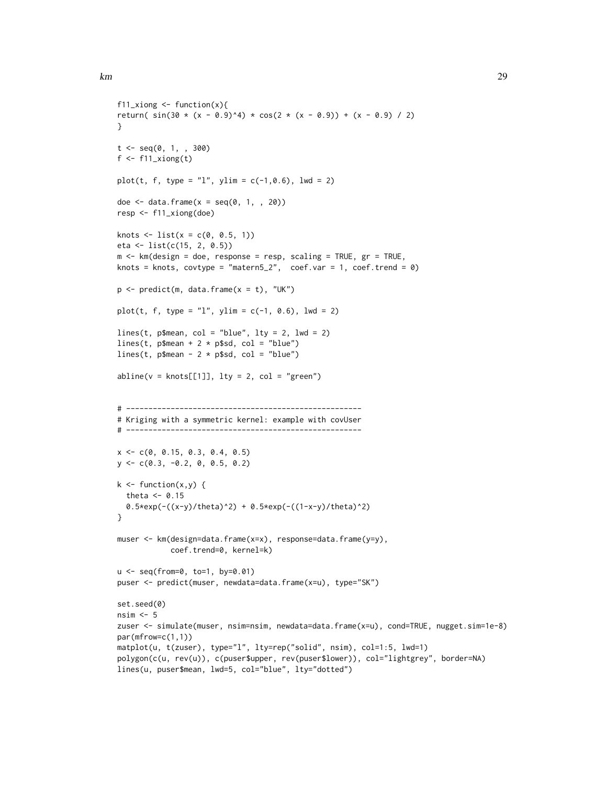```
f11_xiong \le function(x){
return( sin(30 \times (x - 0.9)^4) \times cos(2 \times (x - 0.9)) + (x - 0.9) / 2)}
t \leq - \text{seq}(0, 1, 0, 300)f \leftarrow f11\_xiplot(t, f, type = "l", ylim = c(-1, 0.6), lwd = 2)doe \le data.frame(x = seq(0, 1, , 20))
resp <- f11_xiong(doe)
knots \le list(x = c(0, 0.5, 1))
eta <- list(c(15, 2, 0.5))
m <- km (design = doe, response = resp, scaling = TRUE, gr = TRUE,
knots = knots, covtype = "matern5_2", coef.var = 1, coef.trend = 0)
p \leftarrow \text{predict}(m, data-frame(x = t), "UK")plot(t, f, type = "l", ylim = c(-1, 0.6), lwd = 2)
lines(t, p$mean, col = "blue", lty = 2, lwd = 2)lines(t, p$mean + 2 * p$sd, col = "blue")lines(t, p$mean - 2 * p$sd, col = "blue")abline(v = knots[[1]], lty = 2, col = "green")# -----------------------------------------------------
# Kriging with a symmetric kernel: example with covUser
# -----------------------------------------------------
x \leq -c(0, 0.15, 0.3, 0.4, 0.5)y <- c(0.3, -0.2, 0, 0.5, 0.2)
k \leq function(x,y) {
  theta <- 0.15
  0.5*exp(-(x-y)/theta) + 0.5*exp(-((1-x-y)/theta)^2)
}
muser <- km(design=data.frame(x=x), response=data.frame(y=y),
            coef.trend=0, kernel=k)
u <- seq(from=0, to=1, by=0.01)
puser <- predict(muser, newdata=data.frame(x=u), type="SK")
set.seed(0)
nsim <- 5
zuser <- simulate(muser, nsim=nsim, newdata=data.frame(x=u), cond=TRUE, nugget.sim=1e-8)
par(mfrow=c(1,1))
matplot(u, t(zuser), type="l", lty=rep("solid", nsim), col=1:5, lwd=1)
polygon(c(u, rev(u)), c(puser$upper, rev(puser$lower)), col="lightgrey", border=NA)
lines(u, puser$mean, lwd=5, col="blue", lty="dotted")
```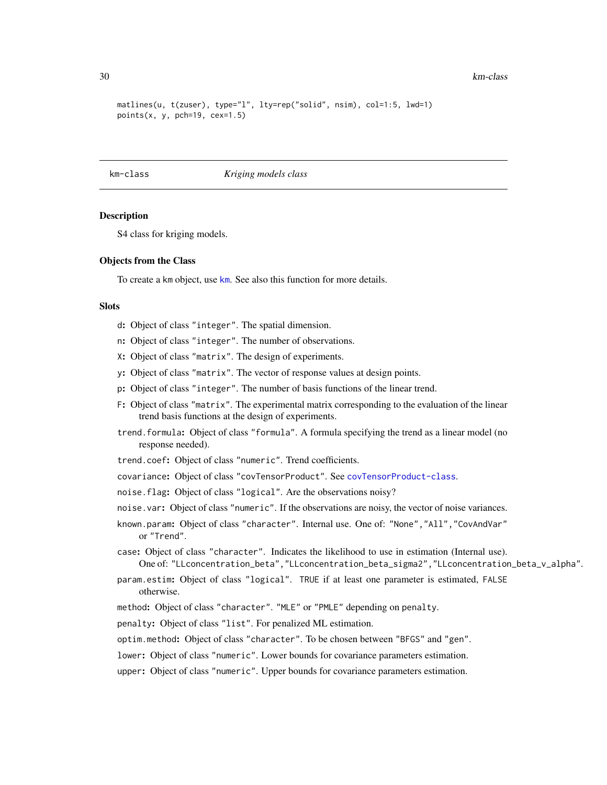#### 30 km-class

```
matlines(u, t(zuser), type="l", lty=rep("solid", nsim), col=1:5, lwd=1)
points(x, y, pch=19, cex=1.5)
```
#### <span id="page-29-1"></span>km-class *Kriging models class*

### Description

S4 class for kriging models.

#### Objects from the Class

To create a [km](#page-20-1) object, use km. See also this function for more details.

#### **Slots**

- d: Object of class "integer". The spatial dimension.
- n: Object of class "integer". The number of observations.
- X: Object of class "matrix". The design of experiments.
- y: Object of class "matrix". The vector of response values at design points.
- p: Object of class "integer". The number of basis functions of the linear trend.
- F: Object of class "matrix". The experimental matrix corresponding to the evaluation of the linear trend basis functions at the design of experiments.
- trend.formula: Object of class "formula". A formula specifying the trend as a linear model (no response needed).
- trend.coef: Object of class "numeric". Trend coefficients.
- covariance: Object of class "covTensorProduct". See [covTensorProduct-class](#page-12-1).
- noise.flag: Object of class "logical". Are the observations noisy?
- noise.var: Object of class "numeric". If the observations are noisy, the vector of noise variances.
- known.param: Object of class "character". Internal use. One of: "None","All","CovAndVar" or "Trend".
- case: Object of class "character". Indicates the likelihood to use in estimation (Internal use). One of: "LLconcentration\_beta","LLconcentration\_beta\_sigma2","LLconcentration\_beta\_v\_alpha".
- param.estim: Object of class "logical". TRUE if at least one parameter is estimated, FALSE otherwise.
- method: Object of class "character". "MLE" or "PMLE" depending on penalty.
- penalty: Object of class "list". For penalized ML estimation.

optim.method: Object of class "character". To be chosen between "BFGS" and "gen".

lower: Object of class "numeric". Lower bounds for covariance parameters estimation.

upper: Object of class "numeric". Upper bounds for covariance parameters estimation.

<span id="page-29-0"></span>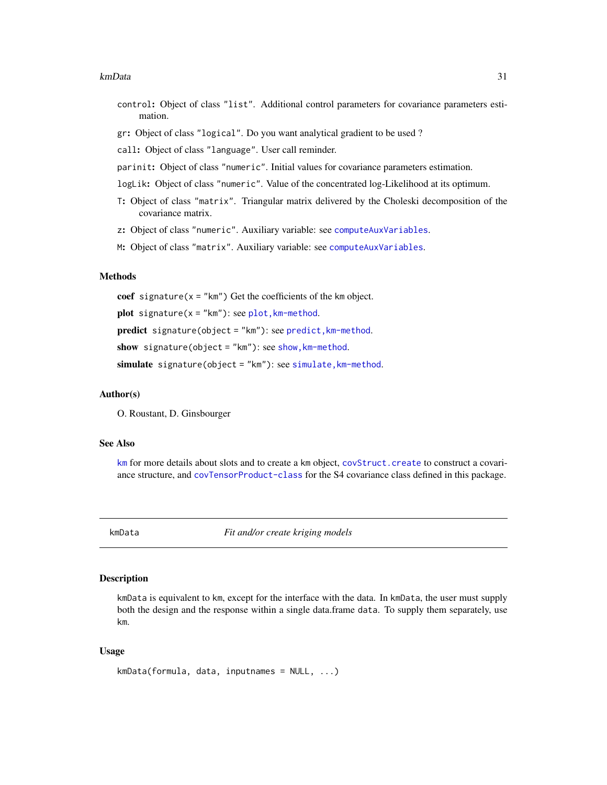#### <span id="page-30-0"></span>kmData 31

- control: Object of class "list". Additional control parameters for covariance parameters estimation.
- gr: Object of class "logical". Do you want analytical gradient to be used ?
- call: Object of class "language". User call reminder.
- parinit: Object of class "numeric". Initial values for covariance parameters estimation.
- logLik: Object of class "numeric". Value of the concentrated log-Likelihood at its optimum.
- T: Object of class "matrix". Triangular matrix delivered by the Choleski decomposition of the covariance matrix.
- z: Object of class "numeric". Auxiliary variable: see [computeAuxVariables](#page-5-1).
- M: Object of class "matrix". Auxiliary variable: see [computeAuxVariables](#page-5-1).

#### Methods

coef signature( $x =$ "km") Get the coefficients of the km object. plot signature( $x = "km"$ ): see plot,  $km$ -method. predict signature(object = "km"): see [predict,km-method](#page-0-0). show signature(object = " $km$ "): see show,  $km$ -method. simulate signature(object = "km"): see simulate, km-method.

#### Author(s)

O. Roustant, D. Ginsbourger

# See Also

[km](#page-20-1) for more details about slots and to create a km object, [covStruct.create](#page-0-0) to construct a covariance structure, and [covTensorProduct-class](#page-12-1) for the S4 covariance class defined in this package.

<span id="page-30-1"></span>

kmData *Fit and/or create kriging models*

# Description

kmData is equivalent to km, except for the interface with the data. In kmData, the user must supply both the design and the response within a single data.frame data. To supply them separately, use km.

#### Usage

```
kmData(formula, data, inputnames = NULL, ...)
```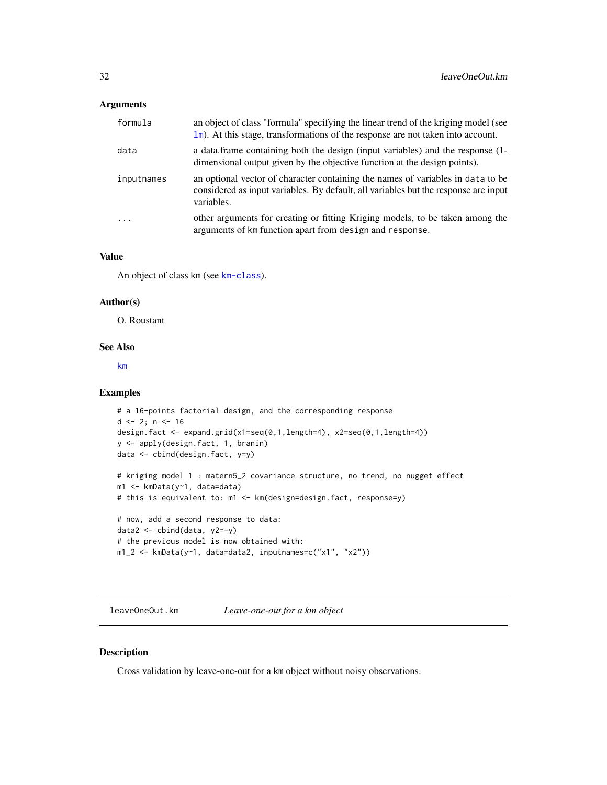#### <span id="page-31-0"></span>Arguments

| formula    | an object of class "formula" specifying the linear trend of the kriging model (see<br>$\ln$ ). At this stage, transformations of the response are not taken into account.            |
|------------|--------------------------------------------------------------------------------------------------------------------------------------------------------------------------------------|
| data       | a data. frame containing both the design (input variables) and the response (1-<br>dimensional output given by the objective function at the design points).                         |
| inputnames | an optional vector of character containing the names of variables in data to be<br>considered as input variables. By default, all variables but the response are input<br>variables. |
| $\ddots$ . | other arguments for creating or fitting Kriging models, to be taken among the<br>arguments of km function apart from design and response.                                            |

#### Value

An object of class km (see [km-class](#page-29-1)).

## Author(s)

O. Roustant

#### See Also

[km](#page-20-1)

# Examples

```
# a 16-points factorial design, and the corresponding response
d \le -2; n \le -16design.fact <- expand.grid(x1=seq(0,1,length=4), x2=seq(0,1,length=4))
y <- apply(design.fact, 1, branin)
data <- cbind(design.fact, y=y)
```

```
# kriging model 1 : matern5_2 covariance structure, no trend, no nugget effect
m1 <- kmData(y~1, data=data)
```

```
# this is equivalent to: m1 <- km(design=design.fact, response=y)
```

```
# now, add a second response to data:
data2 <- cbind(data, y2=-y)
# the previous model is now obtained with:
m1_2 <- kmData(y~1, data=data2, inputnames=c("x1", "x2"))
```
<span id="page-31-1"></span>leaveOneOut.km *Leave-one-out for a km object*

# Description

Cross validation by leave-one-out for a km object without noisy observations.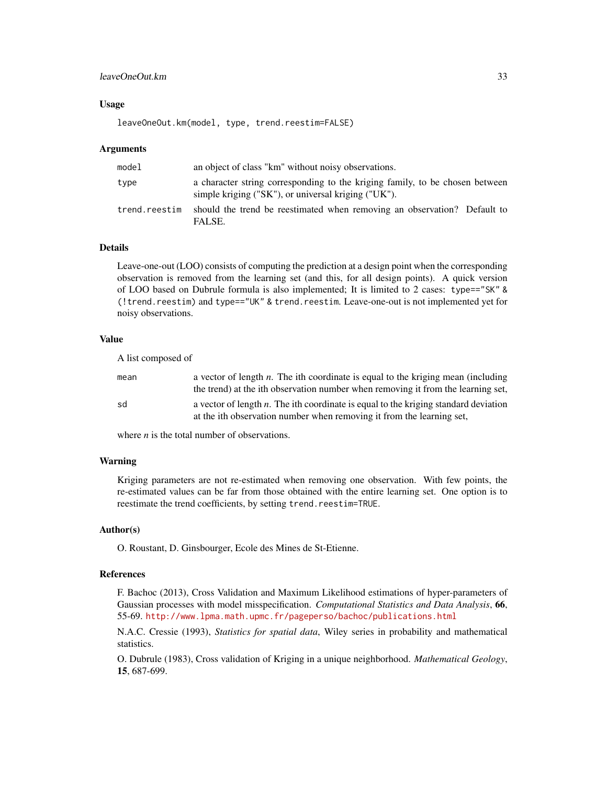# leaveOneOut.km 33

#### Usage

leaveOneOut.km(model, type, trend.reestim=FALSE)

#### Arguments

| model         | an object of class "km" without noisy observations.                                                                                 |
|---------------|-------------------------------------------------------------------------------------------------------------------------------------|
| type          | a character string corresponding to the kriging family, to be chosen between<br>simple kriging ("SK"), or universal kriging ("UK"). |
| trend.reestim | should the trend be reestimated when removing an observation? Default to<br>FALSE.                                                  |

# Details

Leave-one-out (LOO) consists of computing the prediction at a design point when the corresponding observation is removed from the learning set (and this, for all design points). A quick version of LOO based on Dubrule formula is also implemented; It is limited to 2 cases: type=="SK" & (!trend.reestim) and type=="UK" & trend.reestim. Leave-one-out is not implemented yet for noisy observations.

#### Value

| A list composed of |                                                                                                                                                                         |
|--------------------|-------------------------------------------------------------------------------------------------------------------------------------------------------------------------|
| mean               | a vector of length $n$ . The ith coordinate is equal to the kriging mean (including<br>the trend) at the ith observation number when removing it from the learning set, |
| sd                 | a vector of length $n$ . The ith coordinate is equal to the kriging standard deviation<br>at the ith observation number when removing it from the learning set,         |

where *n* is the total number of observations.

#### Warning

Kriging parameters are not re-estimated when removing one observation. With few points, the re-estimated values can be far from those obtained with the entire learning set. One option is to reestimate the trend coefficients, by setting trend.reestim=TRUE.

# Author(s)

O. Roustant, D. Ginsbourger, Ecole des Mines de St-Etienne.

#### References

F. Bachoc (2013), Cross Validation and Maximum Likelihood estimations of hyper-parameters of Gaussian processes with model misspecification. *Computational Statistics and Data Analysis*, 66, 55-69. <http://www.lpma.math.upmc.fr/pageperso/bachoc/publications.html>

N.A.C. Cressie (1993), *Statistics for spatial data*, Wiley series in probability and mathematical statistics.

O. Dubrule (1983), Cross validation of Kriging in a unique neighborhood. *Mathematical Geology*, 15, 687-699.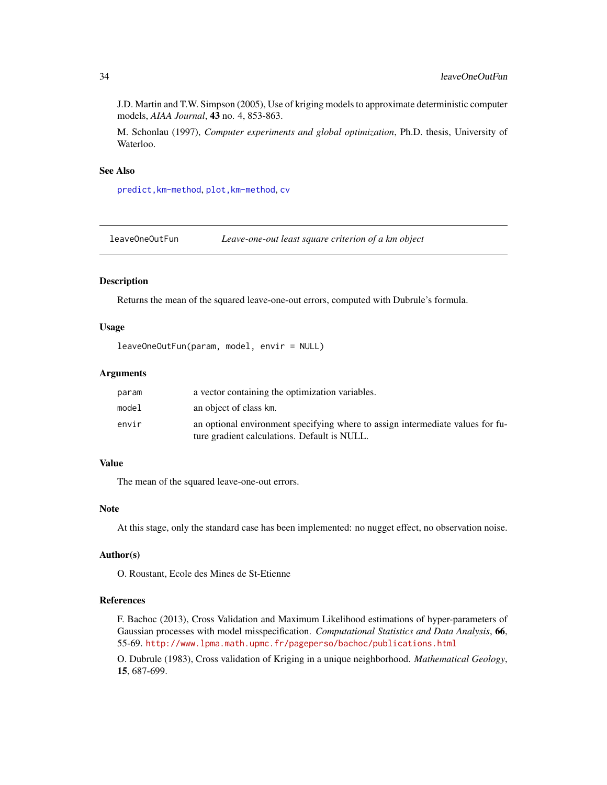<span id="page-33-0"></span>J.D. Martin and T.W. Simpson (2005), Use of kriging models to approximate deterministic computer models, *AIAA Journal*, 43 no. 4, 853-863.

M. Schonlau (1997), *Computer experiments and global optimization*, Ph.D. thesis, University of Waterloo.

# See Also

[predict,km-method](#page-0-0), [plot,km-method](#page-0-0), [cv](#page-15-1)

<span id="page-33-1"></span>leaveOneOutFun *Leave-one-out least square criterion of a km object*

#### Description

Returns the mean of the squared leave-one-out errors, computed with Dubrule's formula.

#### Usage

```
leaveOneOutFun(param, model, envir = NULL)
```
#### Arguments

| param | a vector containing the optimization variables.                                |
|-------|--------------------------------------------------------------------------------|
| model | an object of class km.                                                         |
| envir | an optional environment specifying where to assign intermediate values for fu- |
|       | ture gradient calculations. Default is NULL.                                   |

#### Value

The mean of the squared leave-one-out errors.

# Note

At this stage, only the standard case has been implemented: no nugget effect, no observation noise.

# Author(s)

O. Roustant, Ecole des Mines de St-Etienne

#### References

F. Bachoc (2013), Cross Validation and Maximum Likelihood estimations of hyper-parameters of Gaussian processes with model misspecification. *Computational Statistics and Data Analysis*, 66, 55-69. <http://www.lpma.math.upmc.fr/pageperso/bachoc/publications.html>

O. Dubrule (1983), Cross validation of Kriging in a unique neighborhood. *Mathematical Geology*, 15, 687-699.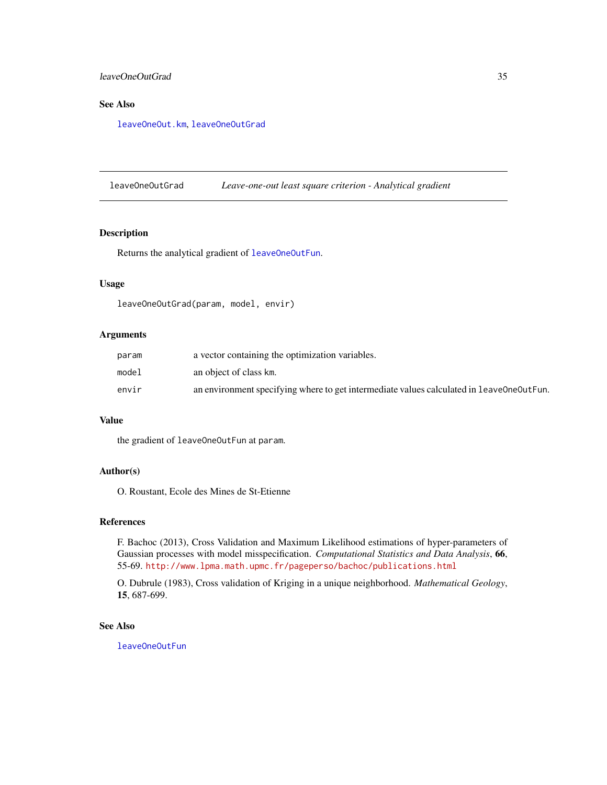# <span id="page-34-0"></span>leaveOneOutGrad 35

# See Also

[leaveOneOut.km](#page-31-1), [leaveOneOutGrad](#page-34-1)

<span id="page-34-1"></span>leaveOneOutGrad *Leave-one-out least square criterion - Analytical gradient*

# Description

Returns the analytical gradient of [leaveOneOutFun](#page-33-1).

# Usage

```
leaveOneOutGrad(param, model, envir)
```
#### Arguments

| param | a vector containing the optimization variables.                                          |
|-------|------------------------------------------------------------------------------------------|
| model | an object of class km.                                                                   |
| envir | an environment specifying where to get intermediate values calculated in leaveOneOutFun. |

# Value

the gradient of leaveOneOutFun at param.

#### Author(s)

O. Roustant, Ecole des Mines de St-Etienne

#### References

F. Bachoc (2013), Cross Validation and Maximum Likelihood estimations of hyper-parameters of Gaussian processes with model misspecification. *Computational Statistics and Data Analysis*, 66, 55-69. <http://www.lpma.math.upmc.fr/pageperso/bachoc/publications.html>

O. Dubrule (1983), Cross validation of Kriging in a unique neighborhood. *Mathematical Geology*, 15, 687-699.

#### See Also

[leaveOneOutFun](#page-33-1)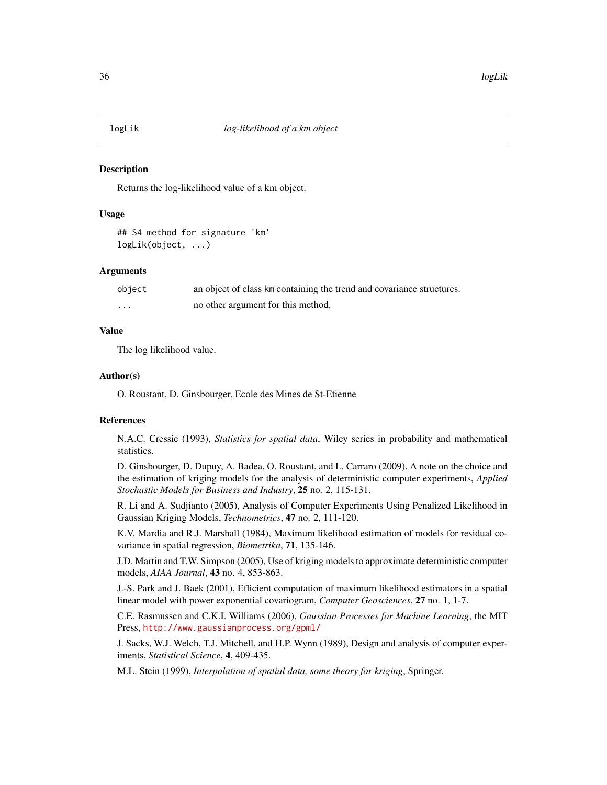<span id="page-35-0"></span>

#### Description

Returns the log-likelihood value of a km object.

#### Usage

## S4 method for signature 'km' logLik(object, ...)

# Arguments

| object | an object of class km containing the trend and covariance structures. |
|--------|-----------------------------------------------------------------------|
| .      | no other argument for this method.                                    |

### Value

The log likelihood value.

#### Author(s)

O. Roustant, D. Ginsbourger, Ecole des Mines de St-Etienne

#### References

N.A.C. Cressie (1993), *Statistics for spatial data*, Wiley series in probability and mathematical statistics.

D. Ginsbourger, D. Dupuy, A. Badea, O. Roustant, and L. Carraro (2009), A note on the choice and the estimation of kriging models for the analysis of deterministic computer experiments, *Applied Stochastic Models for Business and Industry*, 25 no. 2, 115-131.

R. Li and A. Sudjianto (2005), Analysis of Computer Experiments Using Penalized Likelihood in Gaussian Kriging Models, *Technometrics*, 47 no. 2, 111-120.

K.V. Mardia and R.J. Marshall (1984), Maximum likelihood estimation of models for residual covariance in spatial regression, *Biometrika*, 71, 135-146.

J.D. Martin and T.W. Simpson (2005), Use of kriging models to approximate deterministic computer models, *AIAA Journal*, 43 no. 4, 853-863.

J.-S. Park and J. Baek (2001), Efficient computation of maximum likelihood estimators in a spatial linear model with power exponential covariogram, *Computer Geosciences*, 27 no. 1, 1-7.

C.E. Rasmussen and C.K.I. Williams (2006), *Gaussian Processes for Machine Learning*, the MIT Press, <http://www.gaussianprocess.org/gpml/>

J. Sacks, W.J. Welch, T.J. Mitchell, and H.P. Wynn (1989), Design and analysis of computer experiments, *Statistical Science*, 4, 409-435.

M.L. Stein (1999), *Interpolation of spatial data, some theory for kriging*, Springer.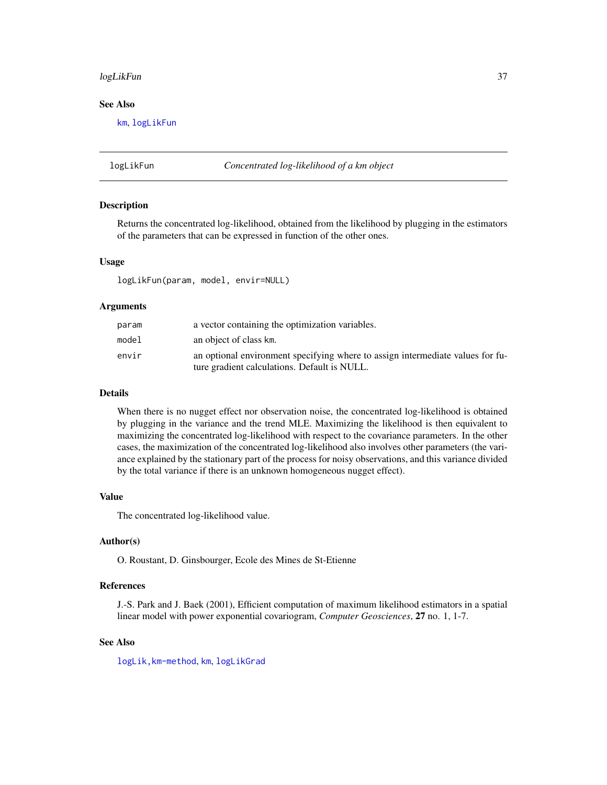#### <span id="page-36-0"></span>logLikFun 37

# See Also

[km](#page-20-1), [logLikFun](#page-36-1)

<span id="page-36-1"></span>logLikFun *Concentrated log-likelihood of a km object*

#### Description

Returns the concentrated log-likelihood, obtained from the likelihood by plugging in the estimators of the parameters that can be expressed in function of the other ones.

#### Usage

logLikFun(param, model, envir=NULL)

#### Arguments

| param | a vector containing the optimization variables.                                |
|-------|--------------------------------------------------------------------------------|
| model | an object of class km.                                                         |
| envir | an optional environment specifying where to assign intermediate values for fu- |
|       | ture gradient calculations. Default is NULL.                                   |

#### Details

When there is no nugget effect nor observation noise, the concentrated log-likelihood is obtained by plugging in the variance and the trend MLE. Maximizing the likelihood is then equivalent to maximizing the concentrated log-likelihood with respect to the covariance parameters. In the other cases, the maximization of the concentrated log-likelihood also involves other parameters (the variance explained by the stationary part of the process for noisy observations, and this variance divided by the total variance if there is an unknown homogeneous nugget effect).

#### Value

The concentrated log-likelihood value.

#### Author(s)

O. Roustant, D. Ginsbourger, Ecole des Mines de St-Etienne

#### References

J.-S. Park and J. Baek (2001), Efficient computation of maximum likelihood estimators in a spatial linear model with power exponential covariogram, *Computer Geosciences*, 27 no. 1, 1-7.

#### See Also

[logLik,km-method](#page-0-0), [km](#page-20-1), [logLikGrad](#page-0-0)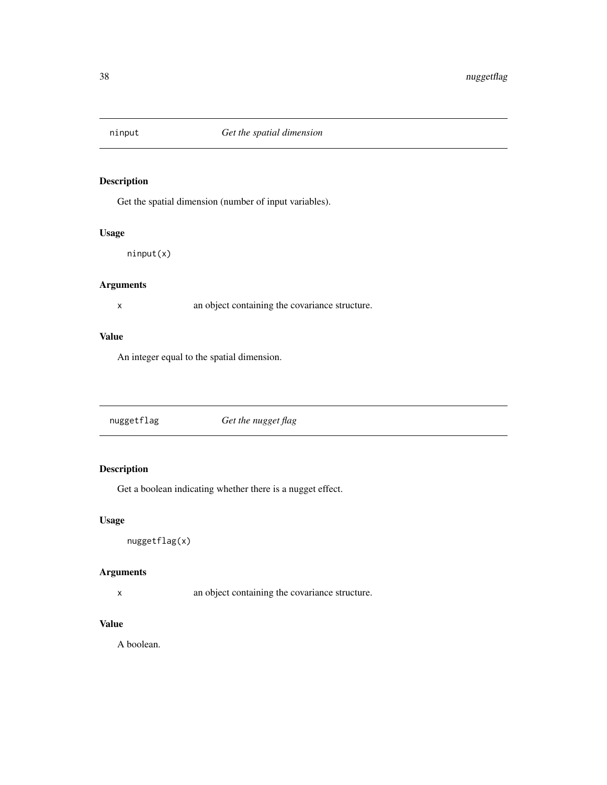<span id="page-37-0"></span>

# Description

Get the spatial dimension (number of input variables).

# Usage

ninput(x)

# Arguments

x an object containing the covariance structure.

# Value

An integer equal to the spatial dimension.

| nuggetflag<br>Get the nugget flag |  |
|-----------------------------------|--|
|-----------------------------------|--|

# Description

Get a boolean indicating whether there is a nugget effect.

# Usage

nuggetflag(x)

# Arguments

x an object containing the covariance structure.

# Value

A boolean.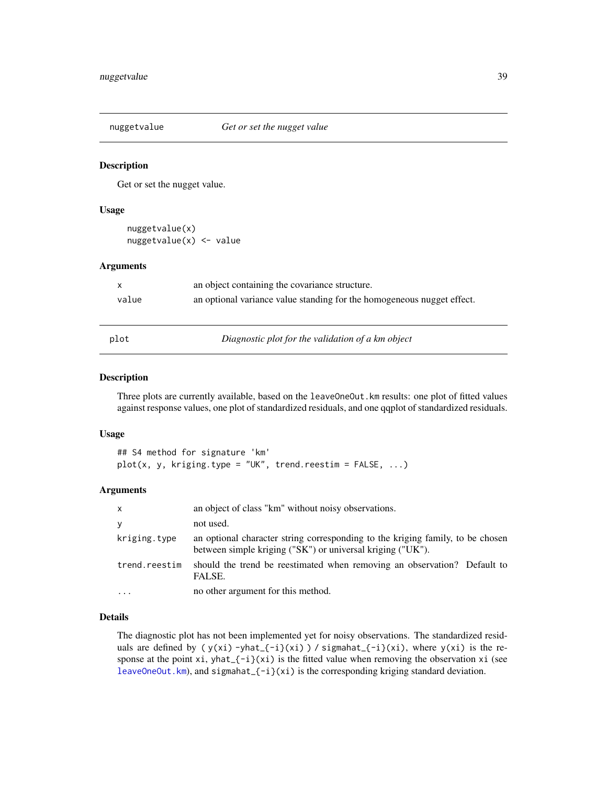<span id="page-38-0"></span>

#### Description

Get or set the nugget value.

#### Usage

```
nuggetvalue(x)
nuggetvalue(x) <- value
```
#### **Arguments**

|       | an object containing the covariance structure.                         |
|-------|------------------------------------------------------------------------|
| value | an optional variance value standing for the homogeneous nugget effect. |
|       |                                                                        |

plot *Diagnostic plot for the validation of a km object*

# Description

Three plots are currently available, based on the leaveOneOut.km results: one plot of fitted values against response values, one plot of standardized residuals, and one qqplot of standardized residuals.

#### Usage

```
## S4 method for signature 'km'
plot(x, y, kriging_type = "UK", trend.reestim = FALSE, ...)
```
# Arguments

| $\mathsf{x}$  | an object of class "km" without noisy observations.                                                                                          |
|---------------|----------------------------------------------------------------------------------------------------------------------------------------------|
| У             | not used.                                                                                                                                    |
| kriging.type  | an optional character string corresponding to the kriging family, to be chosen<br>between simple kriging ("SK") or universal kriging ("UK"). |
| trend.reestim | should the trend be reestimated when removing an observation? Default to<br>FALSE.                                                           |
| $\ddotsc$     | no other argument for this method.                                                                                                           |

#### Details

The diagnostic plot has not been implemented yet for noisy observations. The standardized residuals are defined by ( $y(xi)$  -yhat<sub>-</sub>{-i}(xi)) / sigmahat<sub>-{-i}</sub>(xi), where  $y(xi)$  is the response at the point  $xi$ , yhat $\{-i\}(xi)$  is the fitted value when removing the observation xi (see [leaveOneOut.km](#page-31-1)), and sigmahat\_{-i}(xi) is the corresponding kriging standard deviation.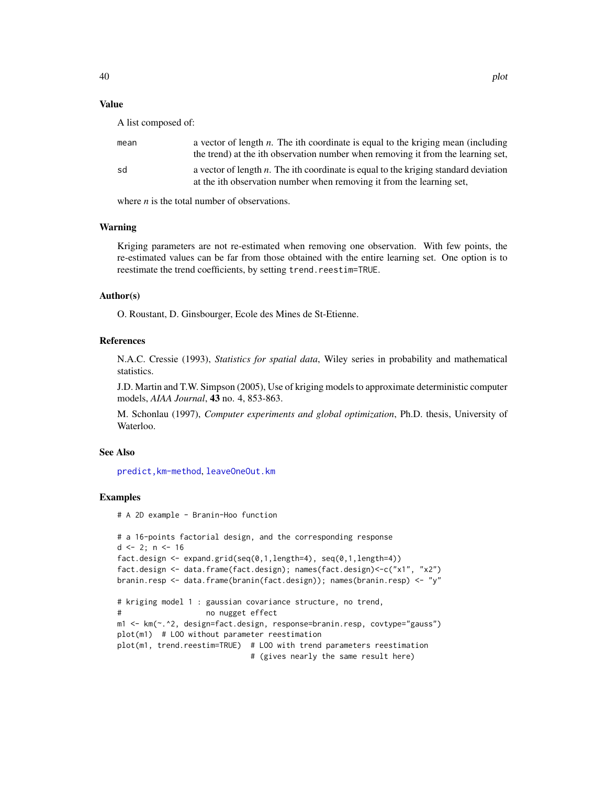#### <span id="page-39-0"></span>Value

A list composed of:

| mean | a vector of length $n$ . The ith coordinate is equal to the kriging mean (including<br>the trend) at the ith observation number when removing it from the learning set, |
|------|-------------------------------------------------------------------------------------------------------------------------------------------------------------------------|
| sd   | a vector of length $n$ . The ith coordinate is equal to the kriging standard deviation<br>at the ith observation number when removing it from the learning set,         |

where *n* is the total number of observations.

#### Warning

Kriging parameters are not re-estimated when removing one observation. With few points, the re-estimated values can be far from those obtained with the entire learning set. One option is to reestimate the trend coefficients, by setting trend.reestim=TRUE.

#### Author(s)

O. Roustant, D. Ginsbourger, Ecole des Mines de St-Etienne.

#### References

N.A.C. Cressie (1993), *Statistics for spatial data*, Wiley series in probability and mathematical statistics.

J.D. Martin and T.W. Simpson (2005), Use of kriging models to approximate deterministic computer models, *AIAA Journal*, 43 no. 4, 853-863.

M. Schonlau (1997), *Computer experiments and global optimization*, Ph.D. thesis, University of Waterloo.

#### See Also

[predict,km-method](#page-0-0), [leaveOneOut.km](#page-31-1)

# Examples

# A 2D example - Branin-Hoo function

```
# a 16-points factorial design, and the corresponding response
d \le -2; n \le -16fact.design <- expand.grid(seq(0,1,length=4), seq(0,1,length=4))
fact.design <- data.frame(fact.design); names(fact.design)<-c("x1", "x2")
branin.resp <- data.frame(branin(fact.design)); names(branin.resp) <- "y"
# kriging model 1 : gaussian covariance structure, no trend,
# no nugget effect
m1 <- km(~.^2, design=fact.design, response=branin.resp, covtype="gauss")
plot(m1) # LOO without parameter reestimation
plot(m1, trend.reestim=TRUE) # LOO with trend parameters reestimation
                             # (gives nearly the same result here)
```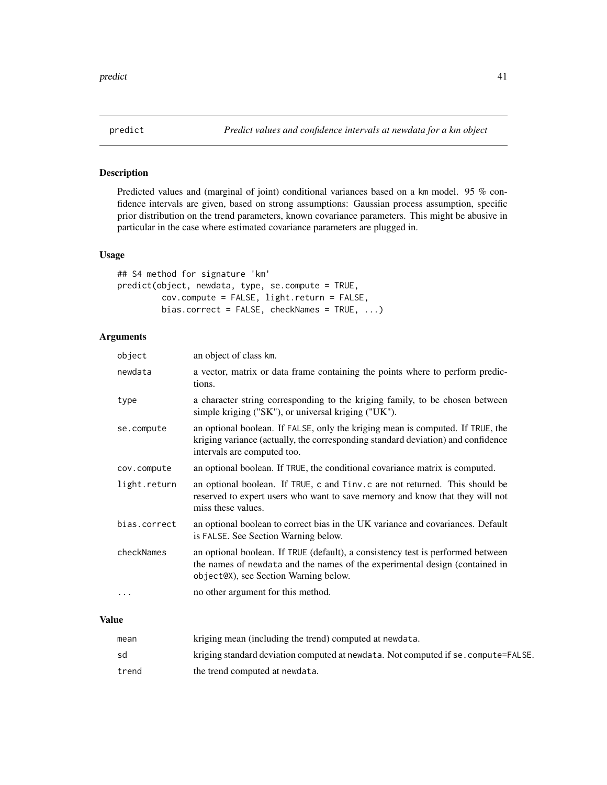<span id="page-40-0"></span>

# Description

Predicted values and (marginal of joint) conditional variances based on a km model. 95 % confidence intervals are given, based on strong assumptions: Gaussian process assumption, specific prior distribution on the trend parameters, known covariance parameters. This might be abusive in particular in the case where estimated covariance parameters are plugged in.

# Usage

```
## S4 method for signature 'km'
predict(object, newdata, type, se.compute = TRUE,
         cov.compute = FALSE, light.return = FALSE,
         bias.correct = FALSE, checkNames = TRUE, ...)
```
# Arguments

| object       | an object of class km.                                                                                                                                                                                  |
|--------------|---------------------------------------------------------------------------------------------------------------------------------------------------------------------------------------------------------|
| newdata      | a vector, matrix or data frame containing the points where to perform predic-<br>tions.                                                                                                                 |
| type         | a character string corresponding to the kriging family, to be chosen between<br>simple kriging ("SK"), or universal kriging ("UK").                                                                     |
| se.compute   | an optional boolean. If FALSE, only the kriging mean is computed. If TRUE, the<br>kriging variance (actually, the corresponding standard deviation) and confidence<br>intervals are computed too.       |
| cov.compute  | an optional boolean. If TRUE, the conditional covariance matrix is computed.                                                                                                                            |
| light.return | an optional boolean. If TRUE, c and Tinv.c are not returned. This should be<br>reserved to expert users who want to save memory and know that they will not<br>miss these values.                       |
| bias.correct | an optional boolean to correct bias in the UK variance and covariances. Default<br>is FALSE. See Section Warning below.                                                                                 |
| checkNames   | an optional boolean. If TRUE (default), a consistency test is performed between<br>the names of newdata and the names of the experimental design (contained in<br>object@X), see Section Warning below. |
| $\cdots$     | no other argument for this method.                                                                                                                                                                      |

#### Value

| mean  | kriging mean (including the trend) computed at newdata.                            |
|-------|------------------------------------------------------------------------------------|
| sd    | kriging standard deviation computed at newdata. Not computed if se. compute=FALSE. |
| trend | the trend computed at newdata.                                                     |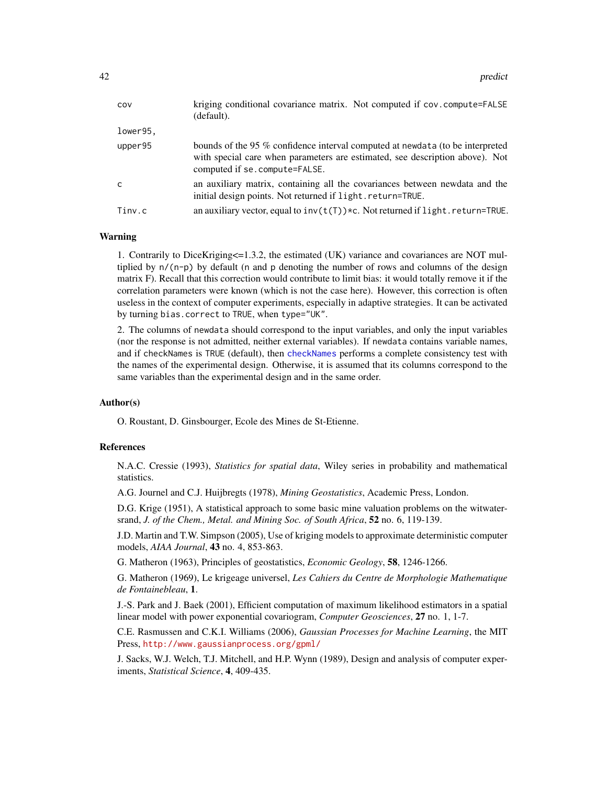<span id="page-41-0"></span>

| COV          | kriging conditional covariance matrix. Not computed if cov.compute=FALSE<br>(default).                                                                                                          |
|--------------|-------------------------------------------------------------------------------------------------------------------------------------------------------------------------------------------------|
| lower95.     |                                                                                                                                                                                                 |
| upper95      | bounds of the 95 % confidence interval computed at newdata (to be interpreted<br>with special care when parameters are estimated, see description above). Not<br>computed if se. compute=FALSE. |
| $\mathsf{C}$ | an auxiliary matrix, containing all the covariances between newdata and the<br>initial design points. Not returned if light.return=TRUE.                                                        |
| Tinv.c       | an auxiliary vector, equal to $inv(t(T))$ *c. Not returned if light.return=TRUE.                                                                                                                |
|              |                                                                                                                                                                                                 |

#### Warning

1. Contrarily to DiceKriging<=1.3.2, the estimated (UK) variance and covariances are NOT multiplied by  $n/(n-p)$  by default (n and p denoting the number of rows and columns of the design matrix F). Recall that this correction would contribute to limit bias: it would totally remove it if the correlation parameters were known (which is not the case here). However, this correction is often useless in the context of computer experiments, especially in adaptive strategies. It can be activated by turning bias.correct to TRUE, when type="UK".

2. The columns of newdata should correspond to the input variables, and only the input variables (nor the response is not admitted, neither external variables). If newdata contains variable names, and if checkNames is TRUE (default), then [checkNames](#page-3-1) performs a complete consistency test with the names of the experimental design. Otherwise, it is assumed that its columns correspond to the same variables than the experimental design and in the same order.

#### Author(s)

O. Roustant, D. Ginsbourger, Ecole des Mines de St-Etienne.

#### References

N.A.C. Cressie (1993), *Statistics for spatial data*, Wiley series in probability and mathematical statistics.

A.G. Journel and C.J. Huijbregts (1978), *Mining Geostatistics*, Academic Press, London.

D.G. Krige (1951), A statistical approach to some basic mine valuation problems on the witwatersrand, *J. of the Chem., Metal. and Mining Soc. of South Africa*, 52 no. 6, 119-139.

J.D. Martin and T.W. Simpson (2005), Use of kriging models to approximate deterministic computer models, *AIAA Journal*, 43 no. 4, 853-863.

G. Matheron (1963), Principles of geostatistics, *Economic Geology*, 58, 1246-1266.

G. Matheron (1969), Le krigeage universel, *Les Cahiers du Centre de Morphologie Mathematique de Fontainebleau*, 1.

J.-S. Park and J. Baek (2001), Efficient computation of maximum likelihood estimators in a spatial linear model with power exponential covariogram, *Computer Geosciences*, 27 no. 1, 1-7.

C.E. Rasmussen and C.K.I. Williams (2006), *Gaussian Processes for Machine Learning*, the MIT Press, <http://www.gaussianprocess.org/gpml/>

J. Sacks, W.J. Welch, T.J. Mitchell, and H.P. Wynn (1989), Design and analysis of computer experiments, *Statistical Science*, 4, 409-435.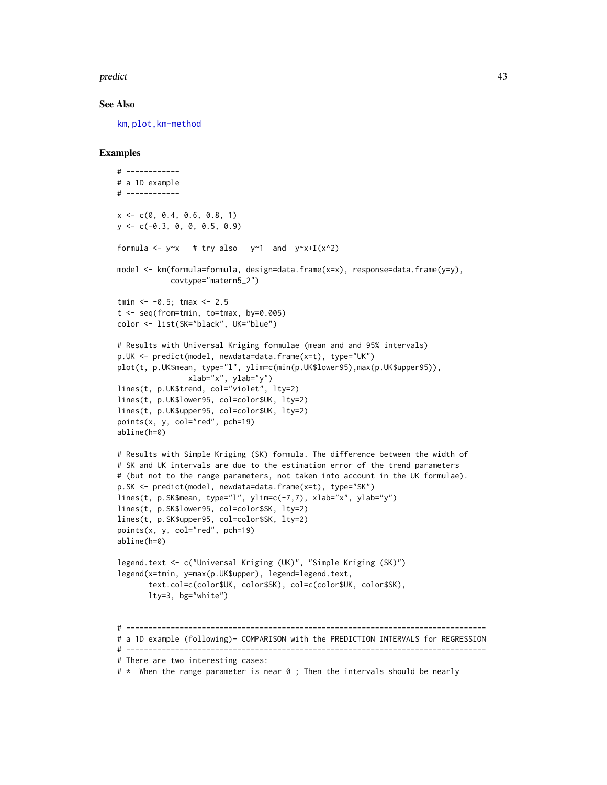#### <span id="page-42-0"></span>predict the contract of the contract of the contract of the contract of the contract of the contract of the contract of the contract of the contract of the contract of the contract of the contract of the contract of the co

#### See Also

[km](#page-20-1), [plot,km-method](#page-0-0)

#### Examples

```
# ------------
# a 1D example
# ------------
x \leq -c(0, 0.4, 0.6, 0.8, 1)y \leq -c(-0.3, 0, 0, 0.5, 0.9)formula \leq y\approx # try also y\approx1 and y\approxx+I(x^2)
model <- km(formula=formula, design=data.frame(x=x), response=data.frame(y=y),
            covtype="matern5_2")
tmin <-0.5; tmax <-2.5t <- seq(from=tmin, to=tmax, by=0.005)
color <- list(SK="black", UK="blue")
# Results with Universal Kriging formulae (mean and and 95% intervals)
p.UK <- predict(model, newdata=data.frame(x=t), type="UK")
plot(t, p.UK$mean, type="l", ylim=c(min(p.UK$lower95),max(p.UK$upper95)),
                xlab="x", ylab="y")
lines(t, p.UK$trend, col="violet", lty=2)
lines(t, p.UK$lower95, col=color$UK, lty=2)
lines(t, p.UK$upper95, col=color$UK, lty=2)
points(x, y, col="red", pch=19)
abline(h=0)
# Results with Simple Kriging (SK) formula. The difference between the width of
# SK and UK intervals are due to the estimation error of the trend parameters
# (but not to the range parameters, not taken into account in the UK formulae).
p.SK <- predict(model, newdata=data.frame(x=t), type="SK")
lines(t, p.SK$mean, type="l", ylim=c(-7,7), xlab="x", ylab="y")
lines(t, p.SK$lower95, col=color$SK, lty=2)
lines(t, p.SK$upper95, col=color$SK, lty=2)
points(x, y, col="red", pch=19)
abline(h=0)
legend.text <- c("Universal Kriging (UK)", "Simple Kriging (SK)")
legend(x=tmin, y=max(p.UK$upper), legend=legend.text,
       text.col=c(color$UK, color$SK), col=c(color$UK, color$SK),
       lty=3, bg="white")
# ---------------------------------------------------------------------------------
# a 1D example (following)- COMPARISON with the PREDICTION INTERVALS for REGRESSION
# ---------------------------------------------------------------------------------
# There are two interesting cases:
```
# \* When the range parameter is near 0 ; Then the intervals should be nearly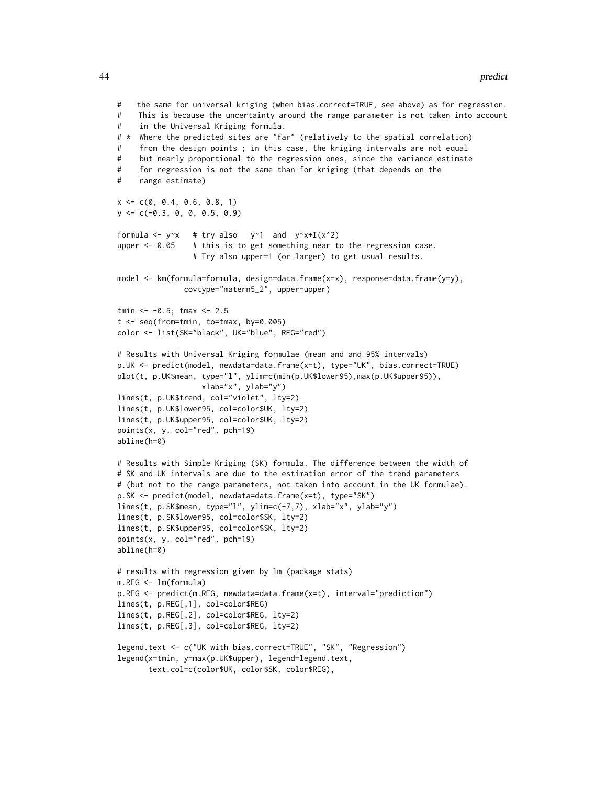```
# the same for universal kriging (when bias.correct=TRUE, see above) as for regression.
# This is because the uncertainty around the range parameter is not taken into account
# in the Universal Kriging formula.
# * Where the predicted sites are "far" (relatively to the spatial correlation)
# from the design points ; in this case, the kriging intervals are not equal
# but nearly proportional to the regression ones, since the variance estimate
# for regression is not the same than for kriging (that depends on the
# range estimate)
x \leq -c(0, 0.4, 0.6, 0.8, 1)y <- c(-0.3, 0, 0, 0.5, 0.9)
formula <- y \sim x # try also y \sim 1 and y \sim x + I(x \sim 2)upper \leq -0.05 # this is to get something near to the regression case.
                 # Try also upper=1 (or larger) to get usual results.
model <- km(formula=formula, design=data.frame(x=x), response=data.frame(y=y),
               covtype="matern5_2", upper=upper)
tmin <- -0.5; tmax <- 2.5
t <- seq(from=tmin, to=tmax, by=0.005)
color <- list(SK="black", UK="blue", REG="red")
# Results with Universal Kriging formulae (mean and and 95% intervals)
p.UK <- predict(model, newdata=data.frame(x=t), type="UK", bias.correct=TRUE)
plot(t, p.UK$mean, type="l", ylim=c(min(p.UK$lower95),max(p.UK$upper95)),
                  xlab="x", ylab="y")
lines(t, p.UK$trend, col="violet", lty=2)
lines(t, p.UK$lower95, col=color$UK, lty=2)
lines(t, p.UK$upper95, col=color$UK, lty=2)
points(x, y, col="red", pch=19)
abline(h=0)
# Results with Simple Kriging (SK) formula. The difference between the width of
# SK and UK intervals are due to the estimation error of the trend parameters
# (but not to the range parameters, not taken into account in the UK formulae).
p.SK <- predict(model, newdata=data.frame(x=t), type="SK")
lines(t, p.SK$mean, type="l", ylim=c(-7,7), xlab="x", ylab="y")
lines(t, p.SK$lower95, col=color$SK, lty=2)
lines(t, p.SK$upper95, col=color$SK, lty=2)
points(x, y, col="red", pch=19)
abline(h=0)
# results with regression given by lm (package stats)
m.REG <- lm(formula)
p.REG <- predict(m.REG, newdata=data.frame(x=t), interval="prediction")
lines(t, p.REG[,1], col=color$REG)
lines(t, p.REG[,2], col=color$REG, lty=2)
lines(t, p.REG[,3], col=color$REG, lty=2)
legend.text <- c("UK with bias.correct=TRUE", "SK", "Regression")
legend(x=tmin, y=max(p.UK$upper), legend=legend.text,
```

```
text.col=c(color$UK, color$SK, color$REG),
```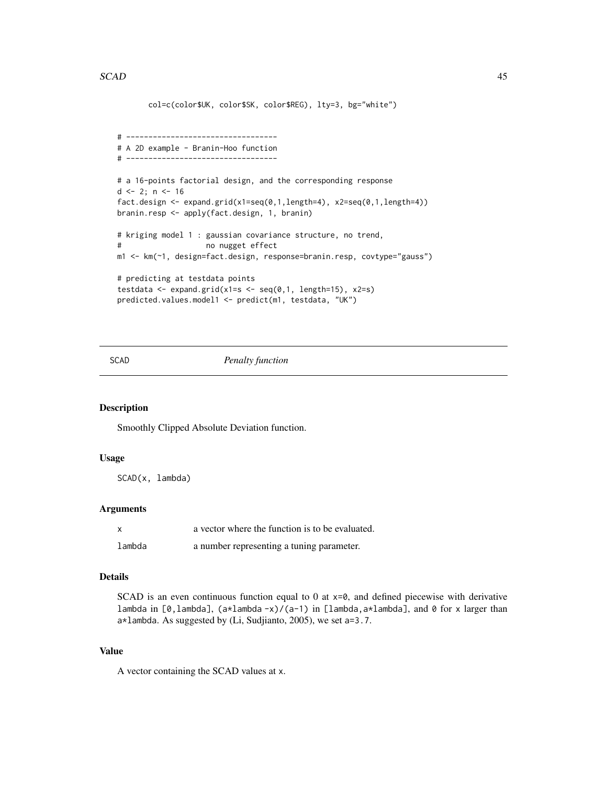```
col=c(color$UK, color$SK, color$REG), lty=3, bg="white")
# ----------------------------------
# A 2D example - Branin-Hoo function
# ----------------------------------
# a 16-points factorial design, and the corresponding response
d \leq 2; n \leq 16fact.design \leq expand.grid(x1=seq(0,1,length=4), x2=seq(0,1,length=4))
branin.resp <- apply(fact.design, 1, branin)
# kriging model 1 : gaussian covariance structure, no trend,
# no nugget effect
m1 <- km(~1, design=fact.design, response=branin.resp, covtype="gauss")
# predicting at testdata points
testdata <- expand.grid(x1=s <- seq(0,1, length=15), x2=s)
predicted.values.model1 <- predict(m1, testdata, "UK")
```
#### SCAD *Penalty function*

# Description

Smoothly Clipped Absolute Deviation function.

#### Usage

SCAD(x, lambda)

#### Arguments

| $\boldsymbol{\mathsf{x}}$ | a vector where the function is to be evaluated. |
|---------------------------|-------------------------------------------------|
| lambda                    | a number representing a tuning parameter.       |

#### Details

SCAD is an even continuous function equal to 0 at  $x=0$ , and defined piecewise with derivative lambda in [0,lambda],  $(a*1ambda-x)/(a-1)$  in [lambda, $a*1ambda$ ], and 0 for x larger than a\*lambda. As suggested by (Li, Sudjianto, 2005), we set a=3.7.

#### Value

A vector containing the SCAD values at x.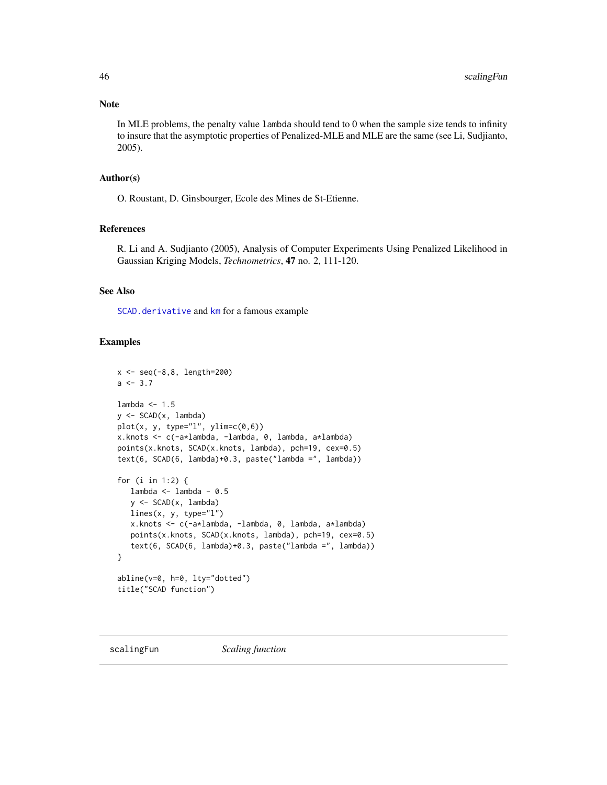#### <span id="page-45-0"></span>Note

In MLE problems, the penalty value lambda should tend to 0 when the sample size tends to infinity to insure that the asymptotic properties of Penalized-MLE and MLE are the same (see Li, Sudjianto, 2005).

#### Author(s)

O. Roustant, D. Ginsbourger, Ecole des Mines de St-Etienne.

# References

R. Li and A. Sudjianto (2005), Analysis of Computer Experiments Using Penalized Likelihood in Gaussian Kriging Models, *Technometrics*, 47 no. 2, 111-120.

# See Also

[SCAD.derivative](#page-0-0) and [km](#page-20-1) for a famous example

#### Examples

```
x \le - seq(-8,8, length=200)
a \le -3.7lambda <-1.5y \le - SCAD(x, \text{lambda})plot(x, y, type="l", ylim=c(0,6))
x.knots <- c(-a*lambda, -lambda, 0, lambda, a*lambda)
points(x.knots, SCAD(x.knots, lambda), pch=19, cex=0.5)
text(6, SCAD(6, lambda)+0.3, paste("lambda =", lambda))
for (i in 1:2) {
   lambda <- lambda - 0.5
   y <- SCAD(x, lambda)
   lines(x, y, type="l")
   x.knots <- c(-a*lambda, -lambda, 0, lambda, a*lambda)
   points(x.knots, SCAD(x.knots, lambda), pch=19, cex=0.5)
   text(6, SCAD(6, lambda)+0.3, paste("lambda =", lambda))
}
abline(v=0, h=0, lty="dotted")
title("SCAD function")
```
<span id="page-45-1"></span>scalingFun *Scaling function*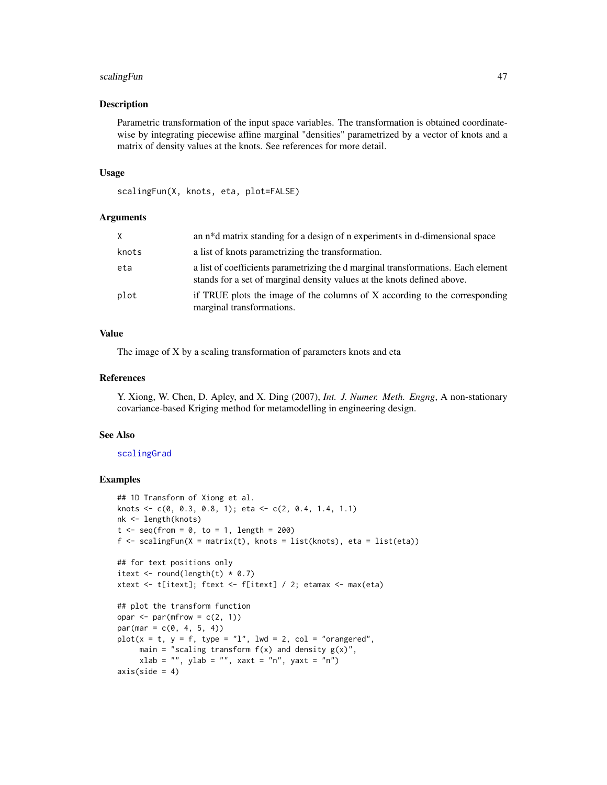#### <span id="page-46-0"></span>scalingFun 47

#### Description

Parametric transformation of the input space variables. The transformation is obtained coordinatewise by integrating piecewise affine marginal "densities" parametrized by a vector of knots and a matrix of density values at the knots. See references for more detail.

#### Usage

```
scalingFun(X, knots, eta, plot=FALSE)
```
# Arguments

| X     | an n <sup>*</sup> d matrix standing for a design of n experiments in d-dimensional space                                                                     |
|-------|--------------------------------------------------------------------------------------------------------------------------------------------------------------|
| knots | a list of knots parametrizing the transformation.                                                                                                            |
| eta   | a list of coefficients parametrizing the d marginal transformations. Each element<br>stands for a set of marginal density values at the knots defined above. |
| plot  | if TRUE plots the image of the columns of X according to the corresponding<br>marginal transformations.                                                      |

# Value

The image of X by a scaling transformation of parameters knots and eta

# References

Y. Xiong, W. Chen, D. Apley, and X. Ding (2007), *Int. J. Numer. Meth. Engng*, A non-stationary covariance-based Kriging method for metamodelling in engineering design.

#### See Also

#### [scalingGrad](#page-49-1)

# Examples

```
## 1D Transform of Xiong et al.
knots <- c(0, 0.3, 0.8, 1); eta <- c(2, 0.4, 1.4, 1.1)
nk <- length(knots)
t \leq - seq(from = 0, to = 1, length = 200)
f \le scalingFun(X = matrix(t), knots = list(knots), eta = list(eta))
## for text positions only
itext \le round(length(t) * 0.7)
xtext <- t[itext]; ftext <- f[itext] / 2; etamax <- max(eta)
## plot the transform function
opar \leq par(mfrow = c(2, 1))
par(max = c(0, 4, 5, 4))plot(x = t, y = f, type = "l", lwd = 2, col = "orangeed",main = "scaling transform f(x) and density g(x)",
     xlab = "", ylab = "", xaxt = "n", yaxt = "n")axis(side = 4)
```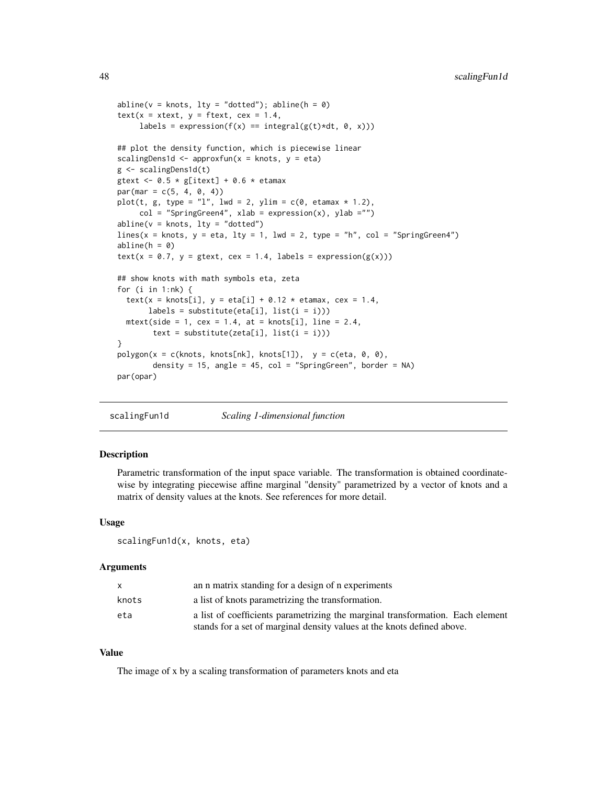```
abline(v = knots, lty = "dotted"); abline(h = 0)text(x = xtext, y = ftext, cex = 1.4,labels = expression(f(x) == integral(g(t)*dt, 0, x)))
## plot the density function, which is piecewise linear
scalingDens1d \leq approxfun(x = knots, y = eta)
g <- scalingDens1d(t)
gtext <- 0.5 * g[itext] + 0.6 * etamax
par(max = c(5, 4, 0, 4))plot(t, g, type = "l", lwd = 2, ylim = c(0, etamar * 1.2),col = "SpringGreen4", xlab = expression(x), ylab = "")abline(v = knots, lty = "dotted")lines(x = knots, y = eta, lty = 1, lwd = 2, type = "h", col = "SpringGreen4")
abline(h = 0)text(x = 0.7, y = getext, cex = 1.4, labels = expression(g(x)))## show knots with math symbols eta, zeta
for (i in 1:nk) {
 text(x = knots[i], y = eta[i] + 0.12 * etamar, cex = 1.4,
      labels = substitute(eta[i], list(i = i)))mtext{text(side = 1, cex = 1.4, at = knots[i], line = 2.4,text = substitute(zeta[i], list(i = i)))
}
polygon(x = c(knots, knots[nk], knots[1]), y = c(eta, 0, 0),
       density = 15, angle = 45, col = "SpringGreen", border = NA)
par(opar)
```
scalingFun1d *Scaling 1-dimensional function*

## Description

Parametric transformation of the input space variable. The transformation is obtained coordinatewise by integrating piecewise affine marginal "density" parametrized by a vector of knots and a matrix of density values at the knots. See references for more detail.

#### Usage

```
scalingFun1d(x, knots, eta)
```
#### Arguments

|       | an n matrix standing for a design of n experiments                             |
|-------|--------------------------------------------------------------------------------|
| knots | a list of knots parametrizing the transformation.                              |
| eta   | a list of coefficients parametrizing the marginal transformation. Each element |
|       | stands for a set of marginal density values at the knots defined above.        |

#### Value

The image of x by a scaling transformation of parameters knots and eta

<span id="page-47-0"></span>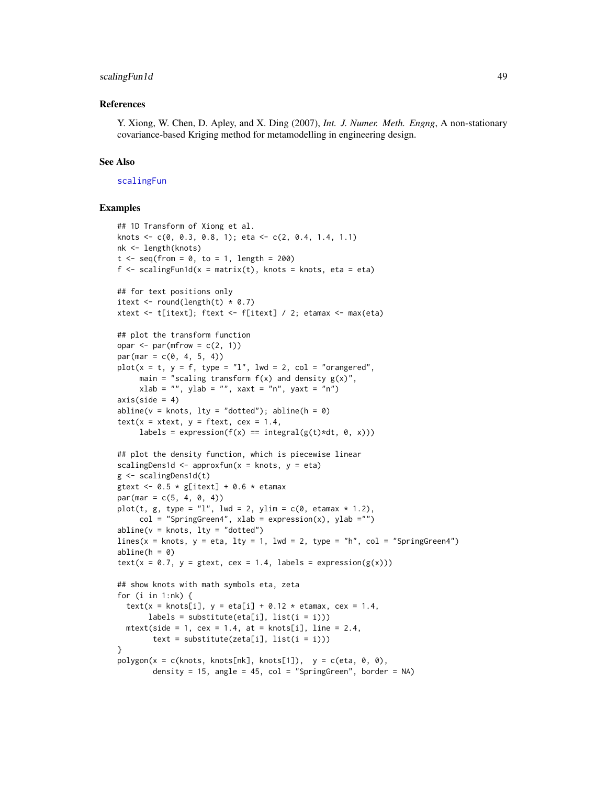# <span id="page-48-0"></span>scalingFun1d 49

#### References

Y. Xiong, W. Chen, D. Apley, and X. Ding (2007), *Int. J. Numer. Meth. Engng*, A non-stationary covariance-based Kriging method for metamodelling in engineering design.

#### See Also

#### [scalingFun](#page-45-1)

#### Examples

```
## 1D Transform of Xiong et al.
knots \leq c(0, 0.3, 0.8, 1); eta \leq c(2, 0.4, 1.4, 1.1)nk <- length(knots)
t \leq -\text{seq}(\text{from} = \emptyset, \text{to} = 1, \text{length} = 200)f \le scalingFun1d(x = matrix(t), knots = knots, eta = eta)
## for text positions only
itext \le round(length(t) \neq 0.7)
xtext <- t[itext]; ftext <- f[itext] / 2; etamax <- max(eta)
## plot the transform function
opar \leq par(mfrow = c(2, 1))
par(max = c(0, 4, 5, 4))plot(x = t, y = f, type = "l", lwd = 2, col = "orangeed",main = "scaling transform f(x) and density g(x)",
     xlab = "", ylab = "", xaxt = "n", yaxt = "n")axis(side = 4)abline(v = knots, lty = "dotted"); abline(h = 0)text(x = xtext, y = ftext, cex = 1.4,labels = expression(f(x) == integral(g(t)*dt, 0, x)))
## plot the density function, which is piecewise linear
scalingDens1d \leq approxfun(x = knots, y = eta)
g <- scalingDens1d(t)
gtext \leq -0.5 * g[itext] + 0.6 * etamax
par(max = c(5, 4, 0, 4))plot(t, g, type = "l", lwd = 2, ylim = c(0, etamax * 1.2),
     col = "SpringGreen4", xlab = expression(x), ylab ="")abline(v = knots, lty = "dotted")lines(x = knots, y = eta, lty = 1, lwd = 2, type = "h", col = "SpringGreen4")
abline(h = 0)
text(x = 0.7, y = gtext, cex = 1.4, labels = expression(g(x)))
## show knots with math symbols eta, zeta
for (i in 1:nk) {
  text(x = knots[i], y = eta[i] + 0.12 * etamar, cex = 1.4,
       labels = substitute(ta[i], list(i = i)))mtext(side = 1, cex = 1.4, at = knots[i], line = 2.4,
        text = substitute(zeta[i], list(i = i)))
}
polygon(x = c(knots, knots[nk], knots[1]), y = c(\text{eta}, 0, 0),density = 15, angle = 45, col = "SpringGreen", border = NA)
```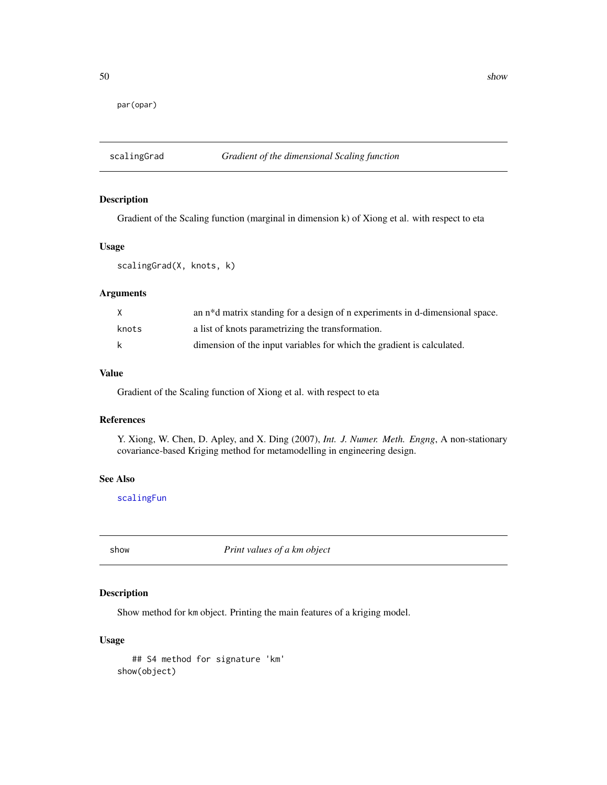<span id="page-49-0"></span>par(opar)

# <span id="page-49-1"></span>scalingGrad *Gradient of the dimensional Scaling function*

# Description

Gradient of the Scaling function (marginal in dimension k) of Xiong et al. with respect to eta

# Usage

scalingGrad(X, knots, k)

# Arguments

| X     | an n <sup>*</sup> d matrix standing for a design of n experiments in d-dimensional space. |
|-------|-------------------------------------------------------------------------------------------|
| knots | a list of knots parametrizing the transformation.                                         |
| k     | dimension of the input variables for which the gradient is calculated.                    |

# Value

Gradient of the Scaling function of Xiong et al. with respect to eta

# References

Y. Xiong, W. Chen, D. Apley, and X. Ding (2007), *Int. J. Numer. Meth. Engng*, A non-stationary covariance-based Kriging method for metamodelling in engineering design.

#### See Also

[scalingFun](#page-45-1)

show *Print values of a km object*

# Description

Show method for km object. Printing the main features of a kriging model.

#### Usage

## S4 method for signature 'km' show(object)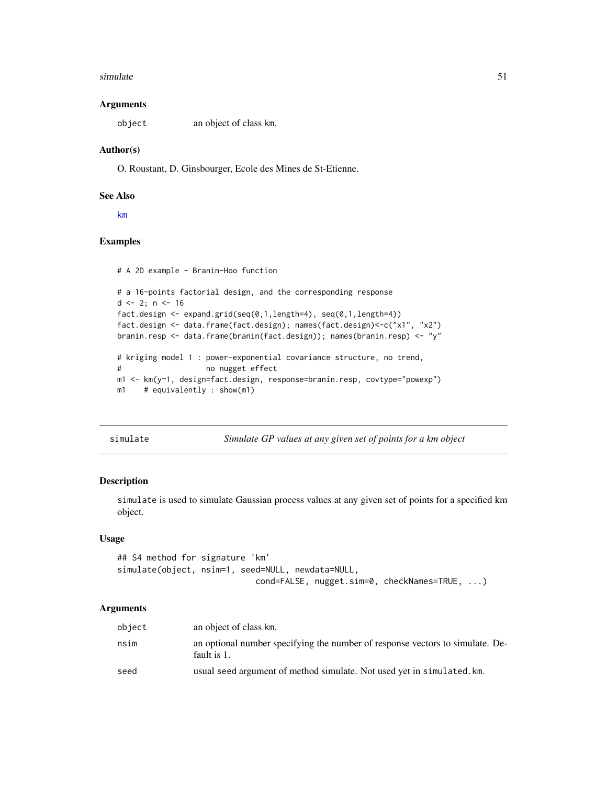#### <span id="page-50-0"></span>simulate 51

#### Arguments

object an object of class km.

#### Author(s)

O. Roustant, D. Ginsbourger, Ecole des Mines de St-Etienne.

#### See Also

[km](#page-20-1)

# Examples

# A 2D example - Branin-Hoo function

```
# a 16-points factorial design, and the corresponding response
d \leq 2; n \leq -16fact.design <- expand.grid(seq(0,1,length=4), seq(0,1,length=4))
fact.design <- data.frame(fact.design); names(fact.design)<-c("x1", "x2")
branin.resp <- data.frame(branin(fact.design)); names(branin.resp) <- "y"
# kriging model 1 : power-exponential covariance structure, no trend,
# no nugget effect
m1 <- km(y~1, design=fact.design, response=branin.resp, covtype="powexp")
m1 # equivalently : show(m1)
```
simulate *Simulate GP values at any given set of points for a km object*

#### Description

simulate is used to simulate Gaussian process values at any given set of points for a specified km object.

#### Usage

```
## S4 method for signature 'km'
simulate(object, nsim=1, seed=NULL, newdata=NULL,
                            cond=FALSE, nugget.sim=0, checkNames=TRUE, ...)
```
# Arguments

| object | an object of class km.                                                                       |
|--------|----------------------------------------------------------------------------------------------|
| nsim   | an optional number specifying the number of response vectors to simulate. De-<br>fault is 1. |
| seed   | usual seed argument of method simulate. Not used yet in simulated. km.                       |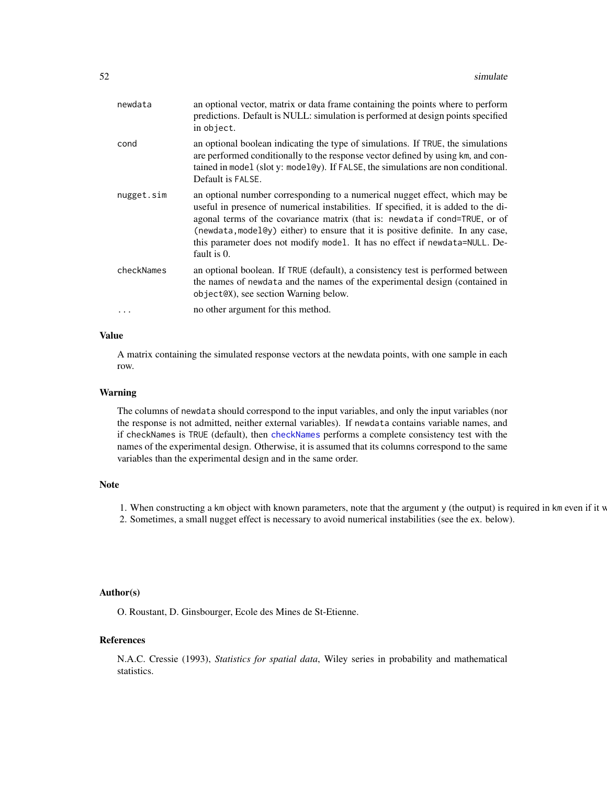<span id="page-51-0"></span>

| newdata    | an optional vector, matrix or data frame containing the points where to perform<br>predictions. Default is NULL: simulation is performed at design points specified<br>in object.                                                                                                                                                                                                                                                  |
|------------|------------------------------------------------------------------------------------------------------------------------------------------------------------------------------------------------------------------------------------------------------------------------------------------------------------------------------------------------------------------------------------------------------------------------------------|
| cond       | an optional boolean indicating the type of simulations. If TRUE, the simulations<br>are performed conditionally to the response vector defined by using km, and con-<br>tained in model (slot y: model@y). If FALSE, the simulations are non conditional.<br>Default is FALSE.                                                                                                                                                     |
| nugget.sim | an optional number corresponding to a numerical nugget effect, which may be<br>useful in presence of numerical instabilities. If specified, it is added to the di-<br>agonal terms of the covariance matrix (that is: newdata if cond=TRUE, or of<br>(newdata, model@y) either) to ensure that it is positive definite. In any case,<br>this parameter does not modify model. It has no effect if newdata=NULL. De-<br>fault is 0. |
| checkNames | an optional boolean. If TRUE (default), a consistency test is performed between<br>the names of newdata and the names of the experimental design (contained in<br>object@X), see section Warning below.                                                                                                                                                                                                                            |
|            | no other argument for this method.                                                                                                                                                                                                                                                                                                                                                                                                 |
|            |                                                                                                                                                                                                                                                                                                                                                                                                                                    |

# Value

A matrix containing the simulated response vectors at the newdata points, with one sample in each row.

#### Warning

The columns of newdata should correspond to the input variables, and only the input variables (nor the response is not admitted, neither external variables). If newdata contains variable names, and if checkNames is TRUE (default), then [checkNames](#page-3-1) performs a complete consistency test with the names of the experimental design. Otherwise, it is assumed that its columns correspond to the same variables than the experimental design and in the same order.

# Note

1. When constructing a km object with known parameters, note that the argument y (the output) is required in km even if it v

2. Sometimes, a small nugget effect is necessary to avoid numerical instabilities (see the ex. below).

# Author(s)

O. Roustant, D. Ginsbourger, Ecole des Mines de St-Etienne.

# References

N.A.C. Cressie (1993), *Statistics for spatial data*, Wiley series in probability and mathematical statistics.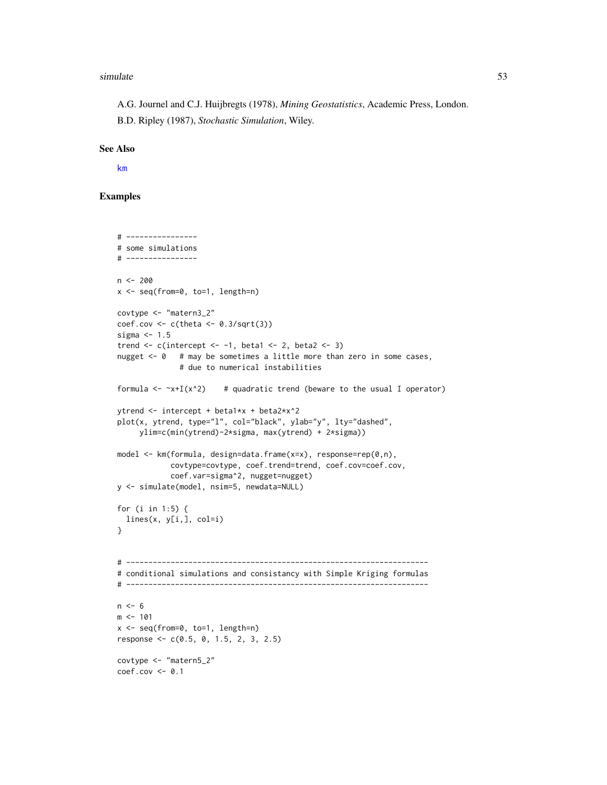#### <span id="page-52-0"></span>simulate 53

A.G. Journel and C.J. Huijbregts (1978), *Mining Geostatistics*, Academic Press, London. B.D. Ripley (1987), *Stochastic Simulation*, Wiley.

#### See Also

[km](#page-20-1)

# Examples

```
# ----------------
# some simulations
# ----------------
n < -200x <- seq(from=0, to=1, length=n)
covtype <- "matern3_2"
coef.cov \leftarrow c(theta \leftarrow 0.3/sqrt(3))sigma <-1.5trend \leq c(intercept \leq -1, beta1 \leq 2, beta2 \leq 3)
nugget <- 0 # may be sometimes a little more than zero in some cases,
              # due to numerical instabilities
formula \leq -x+I(x^2) # quadratic trend (beware to the usual I operator)
ytrend <- intercept + beta1*x + beta2*x^2
plot(x, ytrend, type="l", col="black", ylab="y", lty="dashed",
     ylim=c(min(ytrend)-2*sigma, max(ytrend) + 2*sigma))
model <- km(formula, design=data.frame(x=x), response=rep(0,n),
            covtype=covtype, coef.trend=trend, coef.cov=coef.cov,
            coef.var=sigma^2, nugget=nugget)
y <- simulate(model, nsim=5, newdata=NULL)
for (i in 1:5) {
  lines(x, y[i,], col=i)
}
# --------------------------------------------------------------------
# conditional simulations and consistancy with Simple Kriging formulas
# --------------------------------------------------------------------
n < - 6m < - 101x <- seq(from=0, to=1, length=n)
response <- c(0.5, 0, 1.5, 2, 3, 2.5)
covtype <- "matern5_2"
coef.cov <- 0.1
```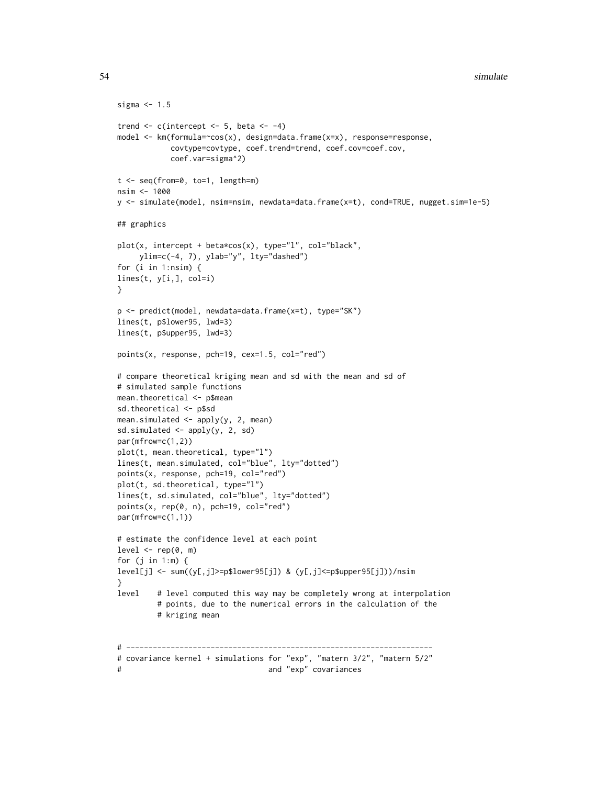```
sigma <-1.5trend \leq c(intercept \leq 5, beta \leq -4)
model <- km(formula=~cos(x), design=data.frame(x=x), response=response,
           covtype=covtype, coef.trend=trend, coef.cov=coef.cov,
           coef.var=sigma^2)
t <- seq(from=0, to=1, length=m)
nsim <- 1000
y <- simulate(model, nsim=nsim, newdata=data.frame(x=t), cond=TRUE, nugget.sim=1e-5)
## graphics
plot(x, intercept + beta*cos(x), type="l", col="black",
    ylim=c(-4, 7), ylab="y", lty="dashed")
for (i in 1:nsim) {
lines(t, y[i,], col=i)
}
p <- predict(model, newdata=data.frame(x=t), type="SK")
lines(t, p$lower95, lwd=3)
lines(t, p$upper95, lwd=3)
points(x, response, pch=19, cex=1.5, col="red")
# compare theoretical kriging mean and sd with the mean and sd of
# simulated sample functions
mean.theoretical <- p$mean
sd.theoretical <- p$sd
mean.simulated <- apply(y, 2, mean)
sd.simulated <- apply(y, 2, sd)
par(mfrow=c(1,2))
plot(t, mean.theoretical, type="l")
lines(t, mean.simulated, col="blue", lty="dotted")
points(x, response, pch=19, col="red")
plot(t, sd.theoretical, type="l")
lines(t, sd.simulated, col="blue", lty="dotted")
points(x, rep(0, n), pch=19, col="red")
par(mfrow=c(1,1))
# estimate the confidence level at each point
level \leq - rep(0, m)for (j in 1:m) {
level[j] <- sum((y[,j]>=p$lower95[j]) & (y[,j]<=p$upper95[j]))/nsim
}
level # level computed this way may be completely wrong at interpolation
        # points, due to the numerical errors in the calculation of the
        # kriging mean
# ---------------------------------------------------------------------
# covariance kernel + simulations for "exp", "matern 3/2", "matern 5/2"
# and "exp" covariances
```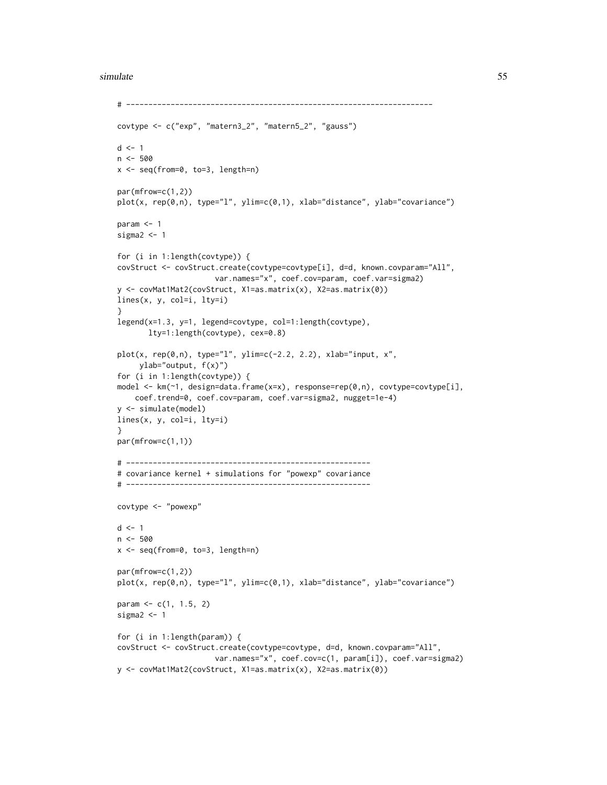#### simulate 55

```
# ---------------------------------------------------------------------
covtype <- c("exp", "matern3_2", "matern5_2", "gauss")
d \leq -1n <- 500
x <- seq(from=0, to=3, length=n)
par(mfrow=c(1,2))
plot(x, rep(0,n), type="l", ylim=c(0,1), xlab="distance", ylab="covariance")
param \leq -1sigma2 < -1for (i in 1:length(covtype)) {
covStruct <- covStruct.create(covtype=covtype[i], d=d, known.covparam="All",
                      var.names="x", coef.cov=param, coef.var=sigma2)
y <- covMat1Mat2(covStruct, X1=as.matrix(x), X2=as.matrix(0))
lines(x, y, col=i, lty=i)
}
legend(x=1.3, y=1, legend=covtype, col=1:length(covtype),
       lty=1:length(covtype), cex=0.8)
plot(x, rep(0,n), type="1", ylim=c(-2.2, 2.2), xlabel="input}, x",ylab="output, f(x)")
for (i in 1:length(covtype)) {
model <- km(~1, design=data.frame(x=x), response=rep(0,n), covtype=covtype[i],
   coef.trend=0, coef.cov=param, coef.var=sigma2, nugget=1e-4)
y <- simulate(model)
lines(x, y, col=i, lty=i)
}
par(mfrow=c(1,1))
# -------------------------------------------------------
# covariance kernel + simulations for "powexp" covariance
# -------------------------------------------------------
covtype <- "powexp"
d \leq -1n < -500x <- seq(from=0, to=3, length=n)
par(mfrow=c(1,2))
plot(x, rep(0,n), type="l", ylim=c(0,1), xlab="distance", ylab="covariance")
param <- c(1, 1.5, 2)
sigma2 < -1for (i in 1:length(param)) {
covStruct <- covStruct.create(covtype=covtype, d=d, known.covparam="All",
                      var.names="x", coef.cov=c(1, param[i]), coef.var=sigma2)
y <- covMat1Mat2(covStruct, X1=as.matrix(x), X2=as.matrix(0))
```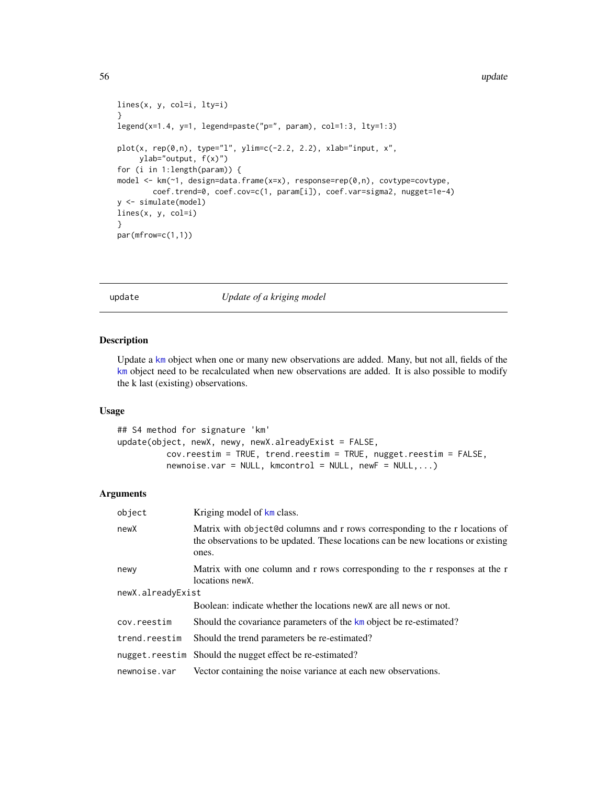```
lines(x, y, col=i, lty=i)}
legend(x=1.4, y=1, legend=paste("p=", param), col=1:3, lty=1:3)
plot(x, rep(0, n), type='1", ylim=c(-2.2, 2.2), xlabel="input}, x",ylab="output, f(x)")
for (i in 1:length(param)) {
model <- km(~1, design=data.frame(x=x), response=rep(0,n), covtype=covtype,
        coef.trend=0, coef.cov=c(1, param[i]), coef.var=sigma2, nugget=1e-4)
y <- simulate(model)
lines(x, y, col=i)
}
par(mfrow=c(1,1))
```
update *Update of a kriging model*

#### Description

Update a [km](#page-20-1) object when one or many new observations are added. Many, but not all, fields of the [km](#page-20-1) object need to be recalculated when new observations are added. It is also possible to modify the k last (existing) observations.

#### Usage

```
## S4 method for signature 'km'
update(object, newX, newy, newX.alreadyExist = FALSE,
         cov.reestim = TRUE, trend.reestim = TRUE, nugget.reestim = FALSE,
         newnoise.var = NULL, kmeontrol = NULL, newF = NULL, ...
```
#### Arguments

| Kriging model of km class.                                                                                                                                               |
|--------------------------------------------------------------------------------------------------------------------------------------------------------------------------|
| Matrix with object@d columns and r rows corresponding to the r locations of<br>the observations to be updated. These locations can be new locations or existing<br>ones. |
| Matrix with one column and r rows corresponding to the r responses at the r<br>locations newX.                                                                           |
| newX.alreadyExist                                                                                                                                                        |
| Boolean: indicate whether the locations new X are all news or not.                                                                                                       |
| Should the covariance parameters of the km object be re-estimated?                                                                                                       |
| Should the trend parameters be re-estimated?                                                                                                                             |
| nugget.reestim Should the nugget effect be re-estimated?                                                                                                                 |
| Vector containing the noise variance at each new observations.                                                                                                           |
|                                                                                                                                                                          |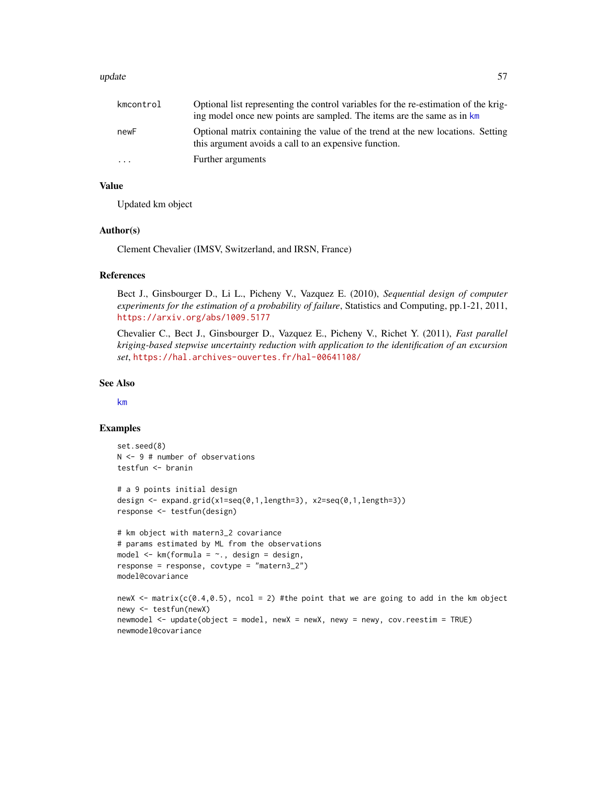#### <span id="page-56-0"></span>update 57

| kmcontrol | Optional list representing the control variables for the re-estimation of the krig-<br>ing model once new points are sampled. The items are the same as in km |
|-----------|---------------------------------------------------------------------------------------------------------------------------------------------------------------|
| newF      | Optional matrix containing the value of the trend at the new locations. Setting<br>this argument avoids a call to an expensive function.                      |
| $\cdots$  | Further arguments                                                                                                                                             |

#### Value

Updated km object

#### Author(s)

Clement Chevalier (IMSV, Switzerland, and IRSN, France)

# References

Bect J., Ginsbourger D., Li L., Picheny V., Vazquez E. (2010), *Sequential design of computer experiments for the estimation of a probability of failure*, Statistics and Computing, pp.1-21, 2011, <https://arxiv.org/abs/1009.5177>

Chevalier C., Bect J., Ginsbourger D., Vazquez E., Picheny V., Richet Y. (2011), *Fast parallel kriging-based stepwise uncertainty reduction with application to the identification of an excursion set*, <https://hal.archives-ouvertes.fr/hal-00641108/>

# See Also

[km](#page-20-1)

#### Examples

```
set.seed(8)
N <- 9 # number of observations
testfun <- branin
# a 9 points initial design
design <- expand.grid(x1=seq(0,1,length=3), x2=seq(0,1,length=3))
response <- testfun(design)
# km object with matern3_2 covariance
# params estimated by ML from the observations
model \leq km(formula = \sim., design = design,
response = response, covtype = "matern3_2")
model@covariance
newX <- matrix(c(0.4, 0.5), ncol = 2) #the point that we are going to add in the km object
newy <- testfun(newX)
newmodel <- update(object = model, newX = newX, newy = newy, cov.reestim = TRUE)
newmodel@covariance
```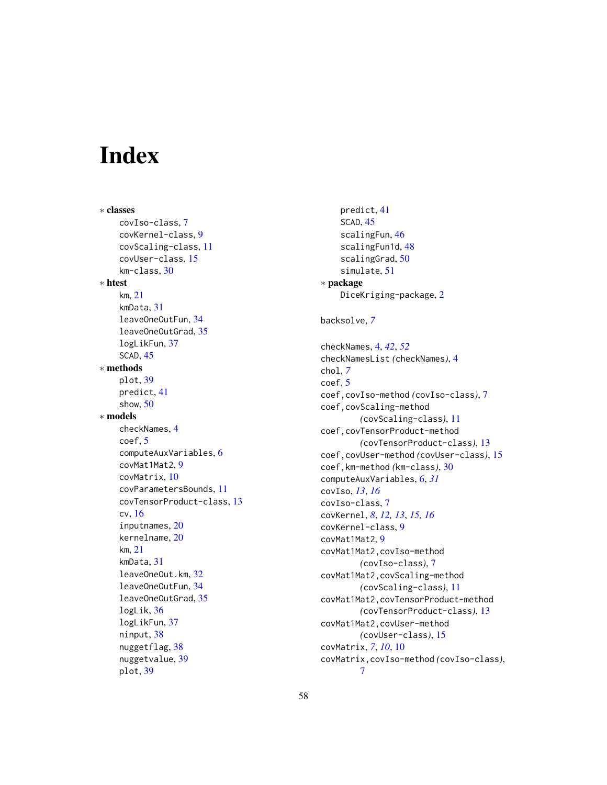# <span id="page-57-0"></span>Index

∗ classes covIso-class, [7](#page-6-0) covKernel-class, [9](#page-8-0) covScaling-class, [11](#page-10-0) covUser-class, [15](#page-14-0) km-class, [30](#page-29-0) ∗ htest km, [21](#page-20-0) kmData, [31](#page-30-0) leaveOneOutFun, [34](#page-33-0) leaveOneOutGrad, [35](#page-34-0) logLikFun, [37](#page-36-0) SCAD, [45](#page-44-0) ∗ methods plot, [39](#page-38-0) predict, [41](#page-40-0) show, [50](#page-49-0) ∗ models checkNames, [4](#page-3-0) coef, [5](#page-4-0) computeAuxVariables, [6](#page-5-0) covMat1Mat2, [9](#page-8-0) covMatrix, [10](#page-9-0) covParametersBounds, [11](#page-10-0) covTensorProduct-class, [13](#page-12-0) cv, [16](#page-15-0) inputnames, [20](#page-19-0) kernelname, [20](#page-19-0) km, [21](#page-20-0) kmData, [31](#page-30-0) leaveOneOut.km, [32](#page-31-0) leaveOneOutFun, [34](#page-33-0) leaveOneOutGrad, [35](#page-34-0) logLik, [36](#page-35-0) logLikFun, [37](#page-36-0) ninput, [38](#page-37-0) nuggetflag, [38](#page-37-0) nuggetvalue, [39](#page-38-0) plot, [39](#page-38-0)

predict, [41](#page-40-0) SCAD, [45](#page-44-0) scalingFun, [46](#page-45-0) scalingFun1d, [48](#page-47-0) scalingGrad, [50](#page-49-0) simulate, [51](#page-50-0) ∗ package DiceKriging-package, [2](#page-1-0) backsolve, *[7](#page-6-0)* checkNames, [4,](#page-3-0) *[42](#page-41-0)*, *[52](#page-51-0)* checkNamesList *(*checkNames*)*, [4](#page-3-0) chol, *[7](#page-6-0)* coef, [5](#page-4-0) coef,covIso-method *(*covIso-class*)*, [7](#page-6-0) coef,covScaling-method *(*covScaling-class*)*, [11](#page-10-0) coef,covTensorProduct-method *(*covTensorProduct-class*)*, [13](#page-12-0) coef,covUser-method *(*covUser-class*)*, [15](#page-14-0) coef,km-method *(*km-class*)*, [30](#page-29-0) computeAuxVariables, [6,](#page-5-0) *[31](#page-30-0)* covIso, *[13](#page-12-0)*, *[16](#page-15-0)* covIso-class, [7](#page-6-0) covKernel, *[8](#page-7-0)*, *[12,](#page-11-0) [13](#page-12-0)*, *[15,](#page-14-0) [16](#page-15-0)* covKernel-class, [9](#page-8-0) covMat1Mat2, [9](#page-8-0) covMat1Mat2,covIso-method *(*covIso-class*)*, [7](#page-6-0) covMat1Mat2,covScaling-method *(*covScaling-class*)*, [11](#page-10-0) covMat1Mat2,covTensorProduct-method *(*covTensorProduct-class*)*, [13](#page-12-0) covMat1Mat2,covUser-method *(*covUser-class*)*, [15](#page-14-0) covMatrix, *[7](#page-6-0)*, *[10](#page-9-0)*, [10](#page-9-0) covMatrix,covIso-method *(*covIso-class*)*, [7](#page-6-0)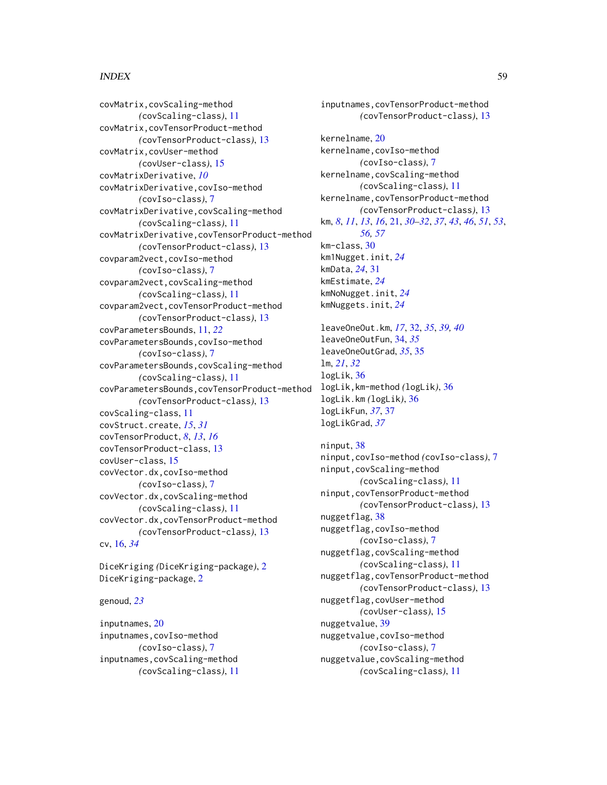#### INDEX 59

covMatrix,covScaling-method *(*covScaling-class*)*, [11](#page-10-0) covMatrix,covTensorProduct-method *(*covTensorProduct-class*)*, [13](#page-12-0) covMatrix,covUser-method *(*covUser-class*)*, [15](#page-14-0) covMatrixDerivative, *[10](#page-9-0)* covMatrixDerivative,covIso-method *(*covIso-class*)*, [7](#page-6-0) covMatrixDerivative,covScaling-method *(*covScaling-class*)*, [11](#page-10-0) covMatrixDerivative,covTensorProduct-method *(*covTensorProduct-class*)*, [13](#page-12-0) covparam2vect,covIso-method *(*covIso-class*)*, [7](#page-6-0) covparam2vect,covScaling-method *(*covScaling-class*)*, [11](#page-10-0) covparam2vect,covTensorProduct-method *(*covTensorProduct-class*)*, [13](#page-12-0) covParametersBounds, [11,](#page-10-0) *[22](#page-21-0)* covParametersBounds,covIso-method *(*covIso-class*)*, [7](#page-6-0) covParametersBounds,covScaling-method *(*covScaling-class*)*, [11](#page-10-0) covParametersBounds,covTensorProduct-method *(*covTensorProduct-class*)*, [13](#page-12-0) covScaling-class, [11](#page-10-0) covStruct.create, *[15](#page-14-0)*, *[31](#page-30-0)* covTensorProduct, *[8](#page-7-0)*, *[13](#page-12-0)*, *[16](#page-15-0)* covTensorProduct-class, [13](#page-12-0) covUser-class, [15](#page-14-0) covVector.dx,covIso-method *(*covIso-class*)*, [7](#page-6-0) covVector.dx,covScaling-method *(*covScaling-class*)*, [11](#page-10-0) covVector.dx,covTensorProduct-method *(*covTensorProduct-class*)*, [13](#page-12-0) cv, [16,](#page-15-0) *[34](#page-33-0)*

DiceKriging *(*DiceKriging-package*)*, [2](#page-1-0) DiceKriging-package, [2](#page-1-0)

#### genoud, *[23](#page-22-0)*

inputnames, [20](#page-19-0) inputnames,covIso-method *(*covIso-class*)*, [7](#page-6-0) inputnames,covScaling-method *(*covScaling-class*)*, [11](#page-10-0)

inputnames,covTensorProduct-method *(*covTensorProduct-class*)*, [13](#page-12-0) kernelname, [20](#page-19-0) kernelname,covIso-method *(*covIso-class*)*, [7](#page-6-0) kernelname,covScaling-method *(*covScaling-class*)*, [11](#page-10-0) kernelname,covTensorProduct-method *(*covTensorProduct-class*)*, [13](#page-12-0) km, *[8](#page-7-0)*, *[11](#page-10-0)*, *[13](#page-12-0)*, *[16](#page-15-0)*, [21,](#page-20-0) *[30](#page-29-0)[–32](#page-31-0)*, *[37](#page-36-0)*, *[43](#page-42-0)*, *[46](#page-45-0)*, *[51](#page-50-0)*, *[53](#page-52-0)*, *[56,](#page-55-0) [57](#page-56-0)* km-class, [30](#page-29-0) km1Nugget.init, *[24](#page-23-0)* kmData, *[24](#page-23-0)*, [31](#page-30-0) kmEstimate, *[24](#page-23-0)* kmNoNugget.init, *[24](#page-23-0)* kmNuggets.init, *[24](#page-23-0)* leaveOneOut.km, *[17](#page-16-0)*, [32,](#page-31-0) *[35](#page-34-0)*, *[39,](#page-38-0) [40](#page-39-0)* leaveOneOutFun, [34,](#page-33-0) *[35](#page-34-0)* leaveOneOutGrad, *[35](#page-34-0)*, [35](#page-34-0) lm, *[21](#page-20-0)*, *[32](#page-31-0)* logLik, [36](#page-35-0) logLik,km-method *(*logLik*)*, [36](#page-35-0) logLik.km *(*logLik*)*, [36](#page-35-0) logLikFun, *[37](#page-36-0)*, [37](#page-36-0) logLikGrad, *[37](#page-36-0)* ninput, [38](#page-37-0)

ninput,covIso-method *(*covIso-class*)*, [7](#page-6-0) ninput,covScaling-method *(*covScaling-class*)*, [11](#page-10-0) ninput,covTensorProduct-method *(*covTensorProduct-class*)*, [13](#page-12-0) nuggetflag, [38](#page-37-0) nuggetflag,covIso-method *(*covIso-class*)*, [7](#page-6-0) nuggetflag,covScaling-method *(*covScaling-class*)*, [11](#page-10-0) nuggetflag,covTensorProduct-method *(*covTensorProduct-class*)*, [13](#page-12-0) nuggetflag,covUser-method *(*covUser-class*)*, [15](#page-14-0) nuggetvalue, [39](#page-38-0) nuggetvalue,covIso-method *(*covIso-class*)*, [7](#page-6-0) nuggetvalue,covScaling-method *(*covScaling-class*)*, [11](#page-10-0)